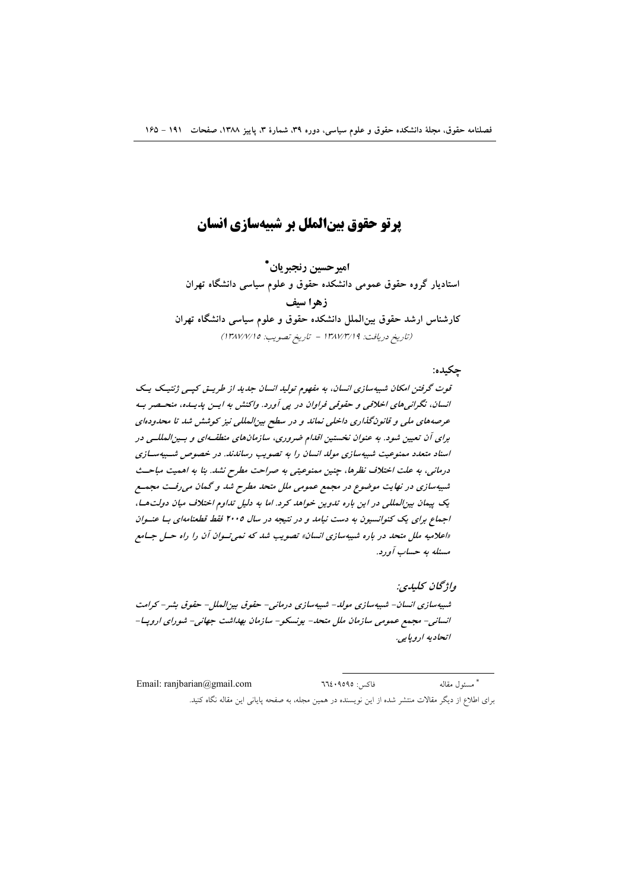# **یرتو حقوق بینالملل بر شبیهسازی انسان**

اميرحسين رنجبريان \* استادیار گروه حقوق عمومی دانشکده حقوق و علوم سیاسی دانشگاه تهران زهرا سيف کارشناس ارشد حقوق بین|لملل دانشکده حقوق و علوم سیاسی دانشگاه تهران (تاريخ دريافت: ١٣٨٧/٣/١٩ - تاريخ تصويب: ١٣٨٧/٧/١٥)

#### چکيده:

قوت گرفتن امکان شبیهسازی انسان، به مفهوم تولید انسان جدید از طریق کیپی ژنتیک یک انسان، نگرانی های اخلاقی و حقوقی فراوان در پی آورد. واکنش به ایسن پدیسده، منحیصر بیه عرصههای ملی و قانونگذاری داخلی نماند و در سطح بینالمللی نیز کوشش شد تا محدودهای برای آن تعیین شود. به عنوان نخستین اقلدام ضروری، سازمانهای منطقـهای و بـینالمللـی در اسناد متعدد ممنوعیت شبیهسازی مولد انسان را به تصویب رساندند. در خصوص شـبیهسـازی درمانی، به علت اختلاف نظرها، چنین ممنوعیتی به صراحت مطرح نشد. بنا به اهمیت مباحث شبیهسازی در نهایت موضوع در مجمع عمومی ملل متحد مطرح شد و گمان می رفت مجمع یک پیمان بین المللی در این باره تدوین خواهد کرد. اما به دلیل تداوم اختلاف میان دولت ها، اجماع برای یک کنوانسیون به دست نیامد و در نتیجه در سال ۲۰۰۵ فقط قطعنامهای با عنوان «اعلامیه ملل متحد در باره شیبهسازی انسان» تصویب شد که نمیتوان آن را راه حسل جسامع مسئله به حساب آورد.

واژىخان كىلىدى: شىبيەسازى انسان- شىبيەسازى مولد- شىبيەسازى درمانى- حقوق بين للملل- حقوق بشر- كرامت انسانی- مجمع عمومی سازمان ملل متحد- پونسکو- سازمان بهداشت جهانی- شورای اروپا-اتحادیه اروپایی.

فاكس: ٩٥٩٥٩٥: Email: ranjbarian@gmail.com \* مسئول مقاله برای اطلاع از دیگر مقالات منتشر شده از این نویسنده در همین مجله، به صفحه پایانی این مقاله نگاه کنید.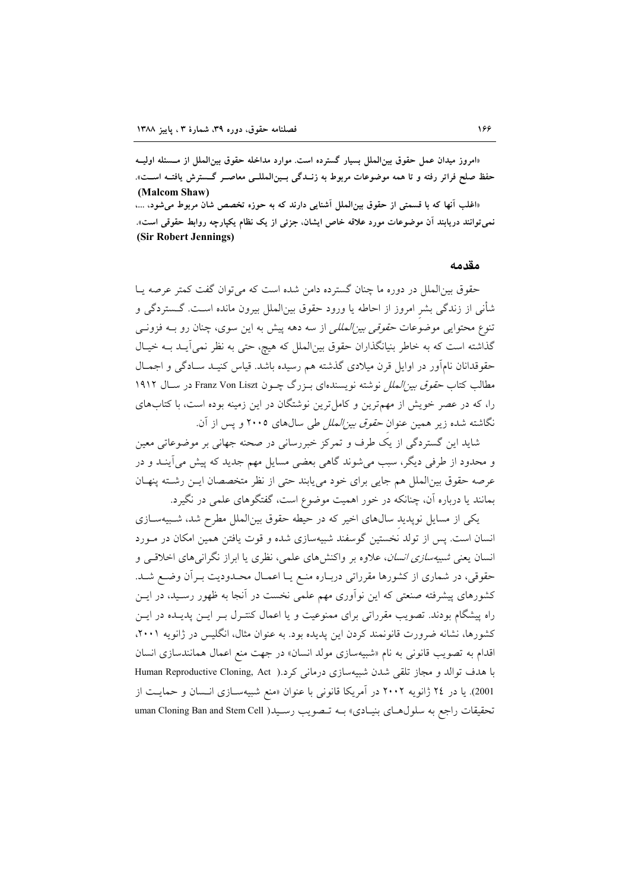«امروز میدان عمل حقوق بین|لملل بسیار گسترده است. موارد مداخله حقوق بین|لملل از مــسئله اولیــه حفظ صلح فراتر رفته و تا همه موضوعات مربوط به زنــدگی بــینالمللــی معاصــر گـــسترش یافتــه اســت». (Malcom Shaw) «اغلب آنها که با قسمتی از حقوق بینالملل آشنایی دارند که به حوزه تخصص شان مربوط میشود، ...،

نمی توانند دریابند آن موضوعات مورد علاقه خاص ایشان، جزئی از یک نظام یکپارچه روابط حقوقی است». (Sir Robert Jennings)

مقدمه

حقوق بین|لملل در دوره ما چنان گسترده دامن شده است که می توان گفت کمتر عرصه پـا شأنی از زندگی بشر امروز از احاطه یا ورود حقوق بین|لملل بیرون مانده اسـت. گــستردگی و تنوع محتوایی موضوعات حق*وقی بین المللی* از سه دهه پیش به این سوی، چنان رو بـه فزونـی گذاشته است که به خاطر بنیانگذاران حقوق بینالملل که هیچ، حتی به نظر نمی آیـد بــه خیـال حقوقدانان نامآور در اوایل قرن میلادی گذشته هم رسیده باشد. قیاس کنیـد سـادگی و اجمـال مطالب كتاب *حقوق بين الملل نوشته نويسندهاي بـزرگ چـون Franz Von Liszt در سـال ۱۹۱۲* را، که در عصر خویش از مهمترین و کامل ترین نوشتگان در این زمینه بوده است، با کتابهای .<br>نگاشته شده زیر همین عنوان *حقوق بین الملل طی* سالهای ۲۰۰۵ و یس از آن.

شاید این گستردگی از یک طرف و تمرکز خبررسانی در صحنه جهانی بر موضوعاتی معین و محدود از طرفی دیگر، سبب میشوند گاهی بعضی مسایل مهم جدید که پیش می آینـد و در عرصه حقوق بين الملل هم جايي براي خود مي يابند حتى از نظر متخصصان ايـن رشته پنهـان بمانند یا درباره آن، چنانکه در خور اهمیت موضوع است، گفتگوهای علمی در نگیرد.

یکی از مسایل نویدید سالهای اخیر که در حیطه حقوق بینالملل مطرح شد، شبیهسـازی انسان است. پس از تولد نخستین گوسفند شبیهسازی شده و قوت یافتن همین امکان در مـورد انسان یعنی *شبیهسازی انسان*، علاوه بر واکنشهای علمی، نظری یا ابراز نگرانیهای اخلاقی و حقوقي، در شماري از كشورها مقرراتي دربـاره منـع يـا اعمـال محـدوديت بـرأن وضـع شـد. کشورهای پیشرفته صنعتی که این نوآوری مهم علمی نخست در آنجا به ظهور رسـید، در ایــن راه پیشگام بودند. تصویب مقرراتی برای ممنوعیت و یا اعمال کنتـرل بـر ایــن پدیــده در ایــن کشورها، نشانه ضرورت قانونمند کردن این پدیده بود. به عنوان مثال، انگلیس در ژانویه ۲۰۰۱، اقدام به تصویب قانونی به نام «شبیهسازی مولد انسان» در جهت منع اعمال همانندسازی انسان با هدف توالد و مجاز تلقی شدن شبیهسازی درمانی کرد.( Human Reproductive Cloning, Act 2001). یا در ٢٤ ژانویه ٢٠٠٢ در آمریکا قانونی با عنوان «منع شبیهسـازی انـسان و حمایـت از تحقیقات راجع به سلول های بنیادی» بـه تـصویب رسـید( uman Cloning Ban and Stem Cell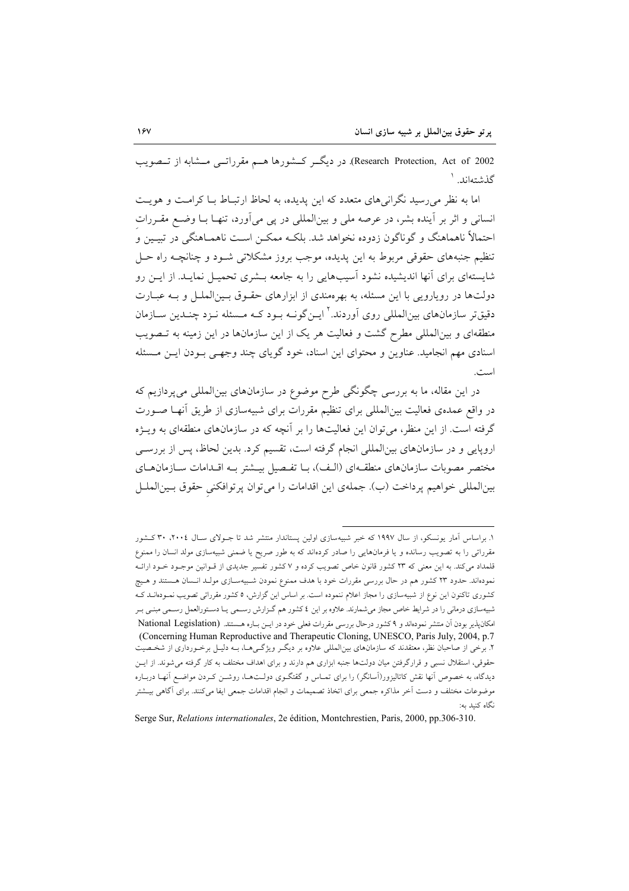Research Protection, Act of 2002). در دیگ کشورها هسم مقرراتسی مشابه از تسصویب گذشتەاند. ۱

اما به نظر می رسید نگرانی های متعدد که این پدیده، به لحاظ ارتبـاط بـا کرامـت و هویـت انسانی و اثر بر آینده بشر، در عرصه ملی و بینالمللی در یی می آورد، تنهـا بـا وضـع مقـررات احتمالاً ناهماهنگ و گوناگون زدوده نخواهد شد. بلکـه ممکــن اســت ناهمــاهنگـی در تبیــین و تنظیم جنبههای حقوقی مربوط به این پدیده، موجب بروز مشکلاتی شـود و چنانچـه راه حـل شایستهای برای آنها اندیشیده نشود آسیبهایی را به جامعه بـشری تحمیـل نمایـد. از ایـن رو دولتها در رویارویی با این مسئله، به بهرهمندی از ابزارهای حقـوق بـین|لملـل و بـه عبـارت دقیقتر سازمانهای بین|لمللی روی آوردند.<sup>۲</sup> ایــنگونــه بــود کــه مــسئله نــزد چنــدین ســازمان منطقهای و بینالمللی مطرح گشت و فعالیت هر یک از این سازمانها در این زمینه به تـصویب اسنادي مهم انجاميد. عناوين و محتواي اين اسناد، خود گوياي چند وجهـي بـودن ايـن مـسئله است.

در این مقاله، ما به بررسی چگونگی طرح موضوع در سازمانهای بین|لمللی می پردازیم که در واقع عمدهی فعالیت بین|لمللی برای تنظیم مقررات برای شبیهسازی از طریق آنهـا صـورت گرفته است. از این منظر، می توان این فعالیتها را بر آنچه که در سازمانهای منطقهای به ویــژه اروپایی و در سازمانهای بینالمللی انجام گرفته است، تقسیم کرد. بدین لحاظ، پس از بررسـی مختصر مصوبات سازمانهای منطقهای (الـف)، بـا تفـصيل بيــشتر بـه اقــدامات ســازمانهـای بينالمللي خواهيم پرداخت (ب). جملهى اين اقدامات را مي توان پرتوافكني حقوق بـينالملـل

۱. براساس آمار یونسکو، از سال ۱۹۹۷ که خبر شبیهسازی اولین پستاندار منتشر شد تا جـولای سـال ۲۰۰۶، ۳۰ کـشور مقرراتی را به تصویب رسانده و یا فرمانهایی را صادر کردهاند که به طور صریح یا ضمنی شبیهسازی مولد انسان را ممنوع قلمداد میکند. به این معنی که ۲۳ کشور قانون خاص تصویب کرده و ۷ کشور تفسیر جدیدی از قـوانین موجـود خـود ارائــه نمودهاند. حدود ۲۳ کشور هم در حال بررسی مقررات خود با هدف ممنوع نمودن شـبیهسـازی مولـد انـسان هـستند و هـیچ کشوری تاکنون این نوع از شبیهسازی را مجاز اعلام ننموده است. بر اساس این گزارش، ٥ کشور مقرراتی تصویب نمــودهانــد کــه شبیهسازی درمانی را در شرایط خاص مجاز می شمارند. علاوه بر این ٤ کشور هم گـزارش رسـمی یـا دسـتورالعمل رسـمی مبنـی بـر امکانپذیر بودن آن منتشر نمودماند و ۹کشور درحال بررسی مقررات فعلی خود در ایـن بـاره هـستند. (National Legislation (Concerning Human Reproductive and Therapeutic Cloning, UNESCO, Paris July, 2004, p.7) ۲. برخی از صاحبان نظر، معتقدند که سازمانهای بین|لمللی علاوه بر دیگـر ویژگـیهـا، بـه دلیـل برخـورداری از شخـصیت حقوقی، استقلال نسبی و قرارگرفتن میان دولتها جنبه ابزاری هم دارند و برای اهداف مختلف به کار گرفته میشوند. از ایــن دیدگاه، به خصوص آنها نقش کاتالیزور(اسانگر) را برای تمـاس و گقتگــوی دولــت۱ــا روشــن کــردن مواضــع آنهــا دربــاره موضوعات مختلف و دست آخر مذاکره جمعی برای اتخاذ تصمیمات و انجام اقدامات جمعی ایفا می کنند. برای آگاهی بیــشتر نگاه کنىد ىە:

Serge Sur, Relations internationales, 2e édition, Montchrestien, Paris, 2000, pp.306-310.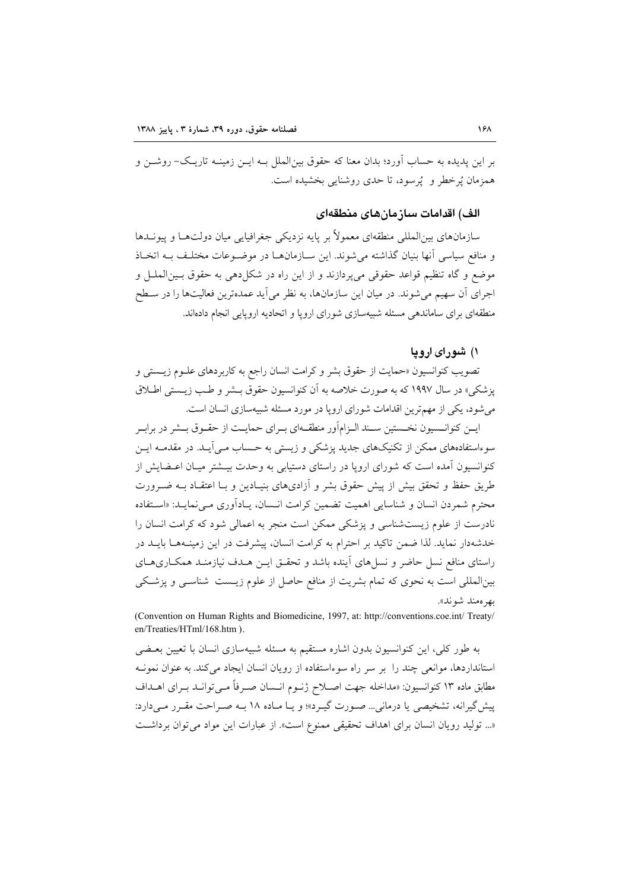بر این پدیده به حساب آورد؛ بدان معنا که حقوق بین|لملل بـه ایــن زمینــه تاریــک- روشــن و همزمان تُرخطر و - تُرسود، تا حدی روشنایی بخشیده است.

## الف) اقدامات سازمانهای منطقهای

سازمانهای بین|لمللی منطقهای معمولاً بر پایه نزدیکی جغرافیایی میان دولتهـا و پیونــدها و منافع سياسي أنها بنيان گذاشته مي شوند. اين سـازمانهـا در موضـوعات مختلـف بـه اتخـاذ موضع و گاه تنظیم قواعد حقوقی می پردازند و از این راه در شکل دهی به حقوق بـینالملـل و اجرای آن سهیم می شوند. در میان این سازمانها، به نظر میآید عمدهترین فعالیتها را در سـطح منطقهای برای ساماندهی مسئله شبیهسازی شورای اروپا و اتحادیه اروپایی انجام دادماند.

# ۱) شورای اروپا

تصویب کنوانسیون «حمایت از حقوق بشر و کرامت انسان راجع به کاربردهای علـوم زیــستی و يزشكي» در سال ۱۹۹۷ كه به صورت خلاصه به آن كنوانسيون حقوق بــشر و طــب زيــستى اطــلاق می شود، یکی از مهمترین اقدامات شورای اروپا در مورد مسئله شبیهسازی انسان است.

ایــن کنوانــسیون نخــستین ســند الــزامآور منطقــهای بــرای حمایــت از حقــوق بــشر در برابــر سوءاستفادههای ممکن از تکنیکهای جدید پزشکی و زیستی به حساب مـیآیـد. در مقدمـه ایـن کنوانسیون آمده است که شورای اروپا در راستای دستیابی به وحدت بیـشتر میـان اعـضایش از طریق حفظ و تحقق بیش از پیش حقوق بشر و آزادیهای بنیـادین و بـا اعتقـاد بـه ضــرورت محترم شمردن انسان و شناسایی اهمیت تضمین کرامت انـسان، یـاداَوری مـیiمایـد: «اسـتفاده نادرست از علوم زیستشناسی و پزشکی ممکن است منجر به اعمالی شود که کرامت انسان را خدشهدار نماید. لذا ضمن تاکید بر احترام به کرامت انسان، پیشرفت در این زمینـههـا بایــد در راستای منافع نسل حاضر و نسلهای آینده باشد و تحقـق ایـن هـدف نیازمنـد همکـاریهـای بینالمللی است به نحوی که تمام بشریت از منافع حاصل از علوم زیـست شناسـی و پزشـکی بهر ەمند شوند».

(Convention on Human Rights and Biomedicine, 1997, at: http://conventions.coe.int/ Treaty/ en/Treaties/HTml/168.htm ).

به طور کلی، این کنوانسیون بدون اشاره مستقیم به مسئله شبیهسازی انسان با تعیین بعــضی استاندار دها، موانعی چند را بر سر راه سوءاستفاده از رویان انسان ایجاد می کند. به عنوان نمونـه مطابق ماده ۱۳ کنوانسیون: «مداخله جهت اصـلاح ژنــوم انــسان صــرفاً مــىتوانــد بــراى اهــداف پیشگیرانه، تشخیصی یا درمانی… صـورت گیـرد»؛ و یـا مـاده ۱۸ بــه صـراحت مقـرر مـیدارد: «... توليد رويان انسان براى اهداف تحقيقى ممنوع است». از عبارات اين مواد مى توان برداشت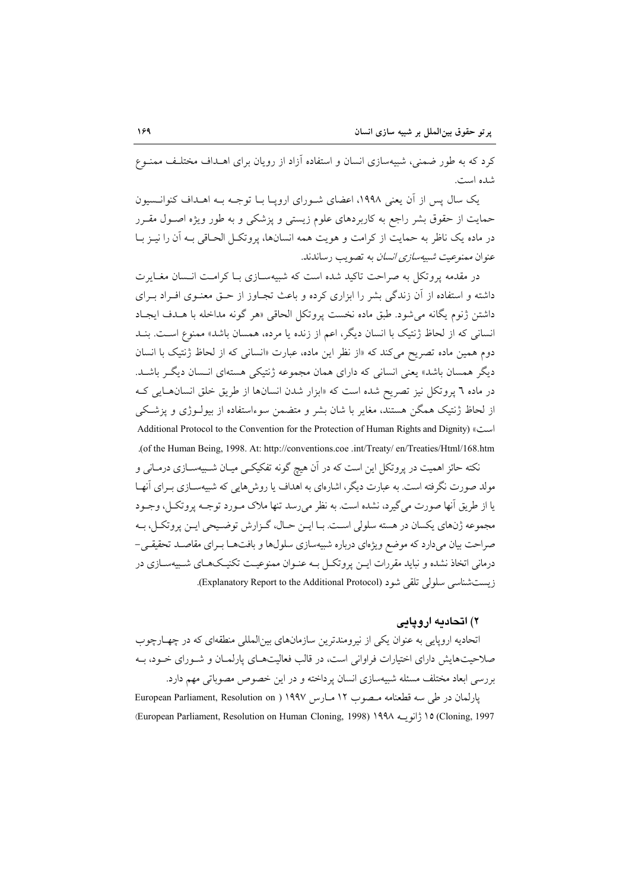کرد که به طور ضمنی، شبیهسازی انسان و استفاده آزاد از رویان برای اهــداف مختلـف ممنــوع شده است.

یک سال پس از آن یعنی ۱۹۹۸، اعضای شـورای اروپـا بـا توجـه بـه اهـداف کنوانـسیون حمایت از حقوق بشر راجع به کاربردهای علوم زیستی و پزشکی و به طور ویژه اصـول مقـرر در ماده یک ناظر به حمایت از کرامت و هویت همه انسانها، پروتکـل الحـاقی بـه آن را نیـز بــا عنوان *ممنوعیت شبیهسازی انسان* به تصویب رساندند.

در مقدمه بروتکل به صراحت تاکید شده است که شسهسازی با کرامت انسان مغیارت داشته و استفاده از آن زندگی بشر را ابزاری کرده و باعث تجـاوز از حــق معنــوی افــراد بــرای داشتن ژنوم يگانه مى شود. طبق ماده نخست پروتكل الحاقى «هر گونه مداخله با هـدف ايجـاد انسانی که از لحاظ ژنتیک با انسان دیگر، اعم از زنده یا مرده، همسان باشد» ممنوع است. بنــد دوم همین ماده تصریح می کند که «از نظر این ماده، عبارت «انسانی که از لحاظ ژنتیک با انسان دیگر همسان باشد» یعنی انسانی که دارای همان مجموعه ژنتیکی هستهای انـسان دیگـر باشـد. در ماده ٦ پروتکل نیز تصریح شده است که «ابزار شدن انسانها از طریق خلق انسانهایی ک از لحاظ ژنتیک همگن هستند، مغایر با شان بشر و متضمن سوءاستفاده از بیولـوژی و پزشـکی Additional Protocol to the Convention for the Protection of Human Rights and Dignity) ( $\sim$ .(of the Human Being, 1998. At: http://conventions.coe.int/Treaty/en/Treaties/Html/168.htm

نکته حائز اهمیت در پروتکل این است که در آن هیچ گونه تفکیکـی میـان شــبیهســازی درمــانی و مولد صورت نگرفته است. به عبارت دیگر، اشارهای به اهداف یا روش۵ایی که شبیهســازی بــرای آنهــا یا از طریق آنها صورت می گیرد، نشده است. به نظر می رسد تنها ملاک مبورد توجیه پروتک) ، وجبود مجموعه ژنهاي يكسان در هسته سلولي است. بـا ايــن حــال، گــزارش توضـيحي ايــن پروتكــل، بــه صراحت بیان میدارد که موضع ویژهای درباره شبیهسازی سلولها و بافتهـا بـرای مقاصـد تحقیقـی-درمانی اتخاذ نشده و نباید مقررات ایــن پروتکــل بــه عنــوان ممنوعیــت تکنیـکهــای شــبیهســازی در زيست شناسي سلولي تلقي شود (Explanatory Report to the Additional Protocol).

## ۲) اتحادیه اروپایی

اتحادیه اروپایی به عنوان یکی از نیرومندترین سازمانهای بینالمللی منطقهای که در چهـارچوب صلاحیتهایش دارای اختیارات فراوانی است، در قالب فعالیتهـای پارلمـان و شـورای خـود، بـه بررسی ابعاد مختلف مسئله شبیهسازی انسان یرداخته و در این خصوص مصوباتی مهم دارد. يارلمان در طي سه قطعنامه مسصوب ١٢ مبارس ١٩٩٧ ( European Parliament, Resolution on Cloning, 1997) 14 ژانویسه ۱۹۹۸ (European Parliament, Resolution on Human Cloning, 1998) 14۹۸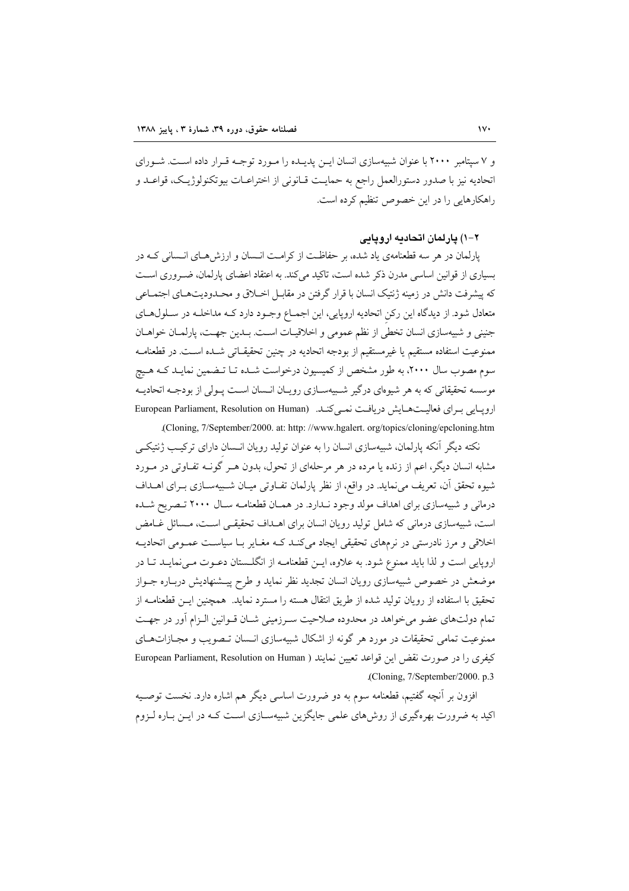و ۷ سپتامبر ۲۰۰۰ با عنوان شبیهسازی انسان ایـن پدیـده را مـورد توجـه قـرار داده اسـت. شـورای اتحاديه نيز با صدور دستورالعمل راجع به حمايـت قـانوني از اختراعـات بيوتكنولوژيـك، قواعـد و راهکارهایی را در این خصوص تنظیم کرده است.

۲-۱) یارلمان اتحادیه اروپایی

پارلمان در هر سه قطعنامهی یاد شده، بر حفاظت از کرامت انـسان و ارزش هـای انـسانی کـه در بسیاری از قوانین اساسی مدرن ذکر شده است، تاکید می کند. به اعتقاد اعضای پارلمان، ضـروری اسـت که پیشرفت دانش در زمینه ژنتیک انسان با قرار گرفتن در مقابـل اخــلاق و محــدودیتهــای اجتمــاعی متعادل شود. از دیدگاه این رکن اتحادیه اروپایی، این اجمـاع وجـود دارد کـه مداخلـه در سـلولهـای جنيني و شبيهسازي انسان تخطي از نظم عمومي و اخلاقيـات اسـت. بــدين جهـت، پارلمــان خواهــان ممنوعيت استفاده مستقيم يا غيرمستقيم از بودجه اتحاديه در چنين تحقيقــاتي شــده اســت. در قطعنامــه سوم مصوب سال ۲۰۰۰، به طور مشخص از کمیسیون درخواست شـده تـا تـضمین نمایـد کـه هـیج موسسه تحقیقاتی که به هر شیوهای درگیر شـبیهســازی رویــان انــسان اســت پــولی از بودجــه اتحادیــه ارویبایی بیرای فعالیتهایش دریافت نمبی کنید. (European Parliament, Resolution on Human (Cloning, 7/September/2000. at: http://www.hgalert.org/topics/cloning/epcloning.htm

نکته دیگر آنکه پارلمان، شبیهسازی انسان را به عنوان تولید رویان انـسان دارای ترکیــــ ژنتیکــی مشابه انسان دیگر، اعم از زنده یا مرده در هر مرحلهای از تحول، بدون هـر گونــه تفــاوتی در مــورد شیوه تحقق آن، تعریف می نماید. در واقع، از نظر پارلمان تفــاوتی میــان شــبیهســازی بــرای اهــداف درمانی و شبیهسازی برای اهداف مولد وجود نـدارد. در همـان قطعنامـه سـال ۲۰۰۰ تـصریح شـده است، شبیهسازی درمانی که شامل تولید رویان انسان برای اهــداف تحقیقــی اســت، مــسائل غــامض اخلاقی و مرز نادرستی در نرمهای تحقیقی ایجاد میکند کـه مغـایر بـا سیاسـت عمـومی اتحادیـه اروپایی است و لذا باید ممنوع شود. به علاوه، ایــن قطعنامــه از انگلــستان دعــوت مــی نمایــد تــا در موضعش در خصوص شبیهسازی رویان انسان تجدید نظر نماید و طرح پیـشنهادیش دربـاره جــواز تحقیق با استفاده از رویان تولید شده از طریق انتقال هسته را مسترد نماید. همچنین ایـن قطعنامــه از تمام دولتهای عضو می خواهد در محدوده صلاحیت سیرزمینی شبان قبوانین البزام آور در جهت ممنوعیت تمامی تحقیقات در مورد هر گونه از اشکال شبیهسازی انـسان تـصویب و مجـازاتهـای كيفري را در صورت نقض اين قواعد تعيين نمايند ( European Parliament, Resolution on Human .(Cloning, 7/September/2000. p.3

افزون بر أنچه گفتیم، قطعنامه سوم به دو ضرورت اساسی دیگر هم اشاره دارد. نخست توصـیه اکید به ضرورت بهرهگیری از روش های علمی جایگزین شبیهسـازی اسـت کــه در ایــن بــاره لــزوم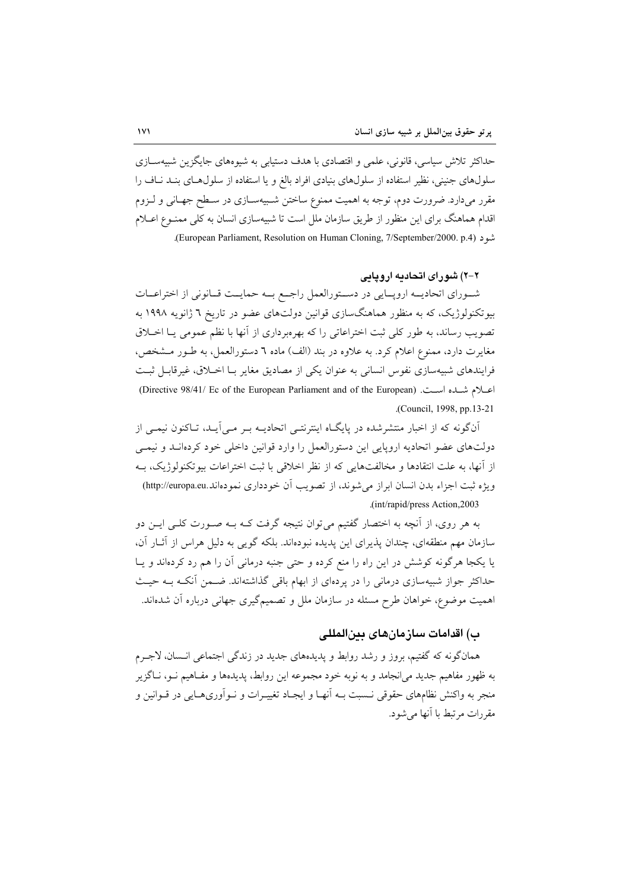حداکثر تلاش سیاسی، قانونی، علمی و اقتصادی با هدف دستیابی به شیوههای جایگزین شبیهســازی سلولهای جنینی، نظیر استفاده از سلولهای بنیادی افراد بالغ و یا استفاده از سلولهای بنـد نـاف را مقرر میدارد. ضرورت دوم، توجه به اهمیت ممنوع ساختن شـبیهسـازی در سـطح جهـانی و لــزوم اقدام هماهنگ برای این منظور از طریق سازمان ملل است تا شبیهسازی انسان به کلی ممنــوع اعــلام .(European Parliament, Resolution on Human Cloning, 7/September/2000. p.4)

## ۲-۲) شور ای اتحادیه اروپایی

شوراي اتحاديــه ارويــايي در دسـتورالعمل راجــع بــه حمايــت قــانوني از اختراعــات بیوتکنولوژیک، که به منظور هماهنگسازی قوانین دولتهای عضو در تاریخ ٦ ژانویه ١٩٩٨ به تصویب رساند، به طور کلی ثبت اختراعاتی را که بهرهبرداری از آنها با نظم عمومی یـا اخــلاق مغایرت دارد، ممنوع اعلام کرد. به علاوه در بند (الف) ماده ٦ دستورالعمل، به طـور مـشخص، فرایندهای شبیهسازی نفوس انسانی به عنوان یکی از مصادیق مغایر بـا اخـلاق، غیرقابـل ثبـت اعبلام شباده است. (Directive 98/41/ Ec of the European Parliament and of the European) (Council, 1998, pp.13-21).

اّنگونه که از اخبار منتشرشده در پایگـاه اینترنتـی اتحادیــه بـر مــی اّیــد، تــاکنون نیمــی از دولتهای عضو اتحادیه اروپایی این دستورالعمل را وارد قوانین داخلی خود کردهانـد و نیمـی از آنها، به علت انتقادها و مخالفتهایی که از نظر اخلاقی با ثبت اختراعات بیوتکنولوژیک، بـه ويژه ثبت اجزاء بدن انسان ابراز مي شوند، از تصويب آن خودداري نمودهاند.http://europa.eu) (int/rapid/press Action, 2003).

به هر روی، از آنچه به اختصار گفتیم میٍتوان نتیجه گرفت کـه بـه صـورت کلـی ایــن دو سازمان مهم منطقهای، چندان پذیرای این پدیده نبودهاند. بلکه گویی به دلیل هراس از آثــار آن، یا یکجا هرگونه کوشش در این راه را منع کرده و حتی جنبه درمانی آن را هم رد کردهاند و یـا حداکثر جواز شبیهسازی درمانی را در پردهای از ابهام باقی گذاشتهاند. ضـمن آنکـه بـه حیـث اهمیت موضوع، خواهان طرح مسئله در سازمان ملل و تصمیمگیری جهانی درباره آن شدهاند.

# ب) اقدامات سازمانهای بینالمللی

همانگونه که گفتیم، بروز و رشد روابط و پدیدههای جدید در زندگی اجتماعی انـسان، لاجـرم به ظهور مفاهیم جدید می|نجامد و به نوبه خود مجموعه این روابط، پدیدهها و مفـاهیم نــو، نــاگزیر منجر به واکنش نظامهای حقوقی نــسبت بــه آنهـا و ایجـاد تغییــرات و نــوآوریهــایی در قــوانین و مقررات مرتبط با آنها می شود.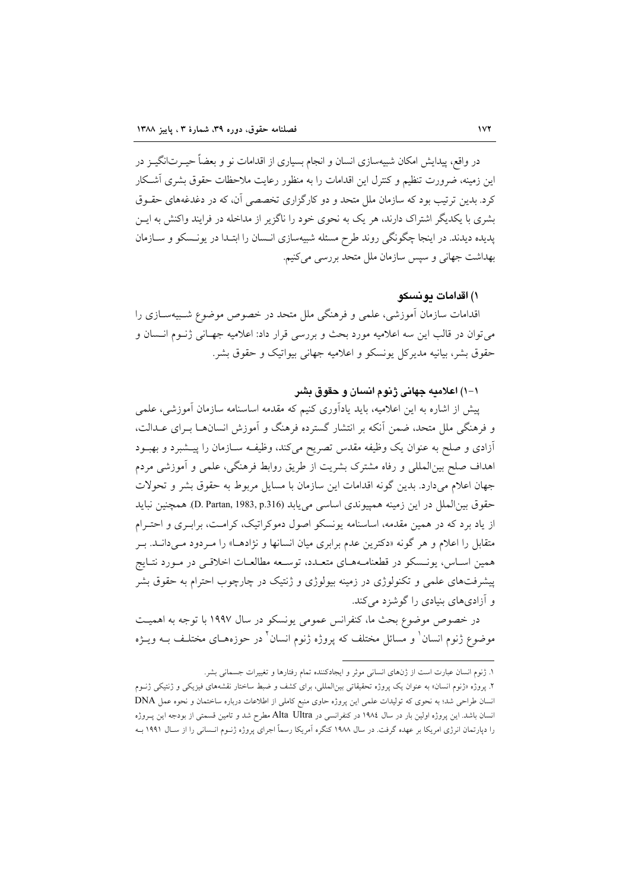در واقع، پیدایش امکان شبیهسازی انسان و انجام بسیاری از اقدامات نو و بعضاً حیــرت|نگیــز در این زمینه، ضرورت تنظیم و کنترل این اقدامات را به منظور رعایت ملاحظات حقوق بشری آشـکار کرد. بدین ترتیب بود که سازمان ملل متحد و دو کارگزاری تخصصی آن، که در دغدغههای حقـوق بشری با یکدیگر اشتراک دارند، هر یک به نحوی خود را ناگزیر از مداخله در فرایند واکنش به ایـــن پدیده دیدند. در اینجا چگونگی روند طرح مسئله شبیهسازی انـسان را ابتـدا در یونـسکو و سـازمان بهداشت جهاني و سپس سازمان ملل متحد بررسي مي كنيم.

## ۱) اقدامات دو نسکو

اقدامات سازمان آموزشی، علمی و فرهنگی ملل متحد در خصوص موضوع شـبیهسـازی را مي توان در قالب اين سه اعلاميه مورد بحث و بررسي قرار داد: اعلاميه جهـاني ژنــوم انــسان و حقوق بشر، بیانیه مدیرکل پونسکو و اعلامیه جهانی بیواتیک و حقوق بشر.

## ١-١) اعلاميه جهاني ژنوم انسان و حقوق بشر

پیش از اشاره به این اعلامیه، باید یادآوری کنیم که مقدمه اساسنامه سازمان آموزشی، علمی و فرهنگی ملل متحد، ضمن آنکه بر انتشار گسترده فرهنگ و آموزش انسانهـا بـرای عـدالت، أزادي و صلح به عنوان يک وظيفه مقدس تصريح ميکند، وظيف سازمان را پيـشبرد و بهبــود اهداف صلح بینالمللی و رفاه مشترک بشریت از طریق روابط فرهنگی، علمی و آموزشی مردم جهان اعلام می دارد. بدین گونه اقدامات این سازمان با مسایل مربوط به حقوق بشر و تحولات حقوق بين الملل در اين زمينه همييوندي اساسي مي يابد (D. Partan, 1983, p.316). همچنين نبايد از یاد برد که در همین مقدمه، اساسنامه یونسکو اصول دموکراتیک، کرامت، برابـری و احتـرام متقابل را اعلام و هر گونه «دکترین عدم برابری میان انسانها و نژادهـا» را مـردود مـیدانـد. بـر همین اسـاس، یونـسکو در قطعنامـههـای متعـدد، توسـعه مطالعـات اخلاقـی در مـورد نتـایج پیشرفتهای علمی و تکنولوژی در زمینه بیولوژی و ژنتیک در چارچوب احترام به حقوق بشر و آزادیهای بنیادی را گوشزد میکند.

در خصوص موضوع بحث ما، كنفرانس عمومي يونسكو در سال ١٩٩٧ با توجه به اهميت موضوع ژنوم انسان ٰ و مسائل مختلف که پروژه ژنوم انسان ٔ در حوزههـای مختلـف بــه ویــژه

١. ژنوم انسان عبارت است از ژنهای انسانی موثر و ایجادکننده تمام رفتارها و تغییرات جسمانی بشر.

۲. پروژه «ژنوم انسان» به عنوان یک پروژه تحقیقاتی بین|لمللی، برای کشف و ضبط ساختار نقشههای فیزیکی و ژنتیکی ژنــوم انسان طراحی شد؛ به نحوی که تولیدات علمی این پروژه حاوی منبع کاملی از اطلاعات درباره ساختمان و نحوه عمل DNA انسان باشد. این پروژه اولین بار در سال ۱۹۸٤ در کنفرانسی در Alta Ultra مطرح شد و تامین قسمتی از بودجه این پـروژه را دپارتمان انرژی امریکا بر عهده گرفت. در سال ۱۹۸۸ کنگره آمریکا رسماً اجرای پروژه ژنــوم انــسانی را از ســال ۱۹۹۱ بــه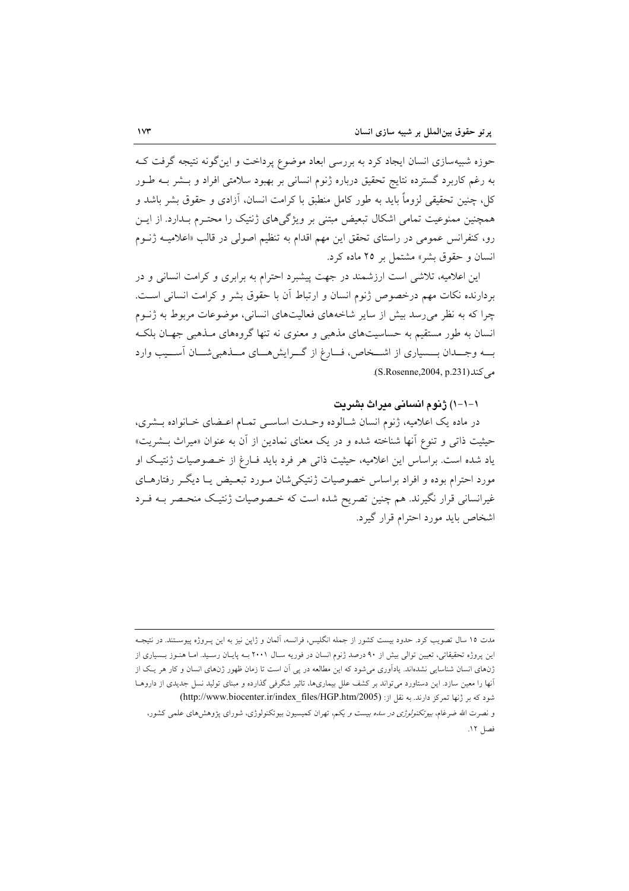حوزه شبیهسازی انسان ایجاد کرد به بررسی ابعاد موضوع پرداخت و این گونه نتیجه گرفت ک به رغم کاربرد گسترده نتایج تحقیق درباره ژنوم انسانی بر بهبود سلامتی افراد و بــشر بــه طــور کل، چنین تحقیقی لزوماً باید به طور کامل منطبق با کرامت انسان، آزادی و حقوق بشر باشد و همچنین ممنوعیت تمامی اشکال تبعیض مبتنی بر ویژگیهای ژنتیک را محتـرم بـدارد. از ایــن رو، کنفرانس عمومی در راستای تحقق این مهم اقدام به تنظیم اصولی در قالب «اعلامیـه ژنــوم انسان و حقوق بشر» مشتمل بر ۲۵ ماده کرد.

این اعلامیه، تلاشی است ارزشمند در جهت پیشبرد احترام به برابری و کرامت انسانی و در بردارنده نكات مهم درخصوص ژنوم انسان و ارتباط آن با حقوق بشر و كرامت انسانى است. چرا که به نظر می٫رسد بیش از سایر شاخههای فعالیتهای انسانی، موضوعات مربوط به ژنــوم انسان به طور مستقیم به حساسیتهای مذهبی و معنوی نه تنها گروههای مـذهبی جهـان بلکـه بــه وجـــدان بـــسياري از اشـــخاص، فـــارغ از گـــرايش هـــاي مـــذهبي شـــان آســـيب وارد می کند(S.Rosenne,2004, p.231).

#### ١–١–١) ژنوم انسانی مدراث بشریت

در ماده یک اعلامیه، ژنوم انسان شـالوده وحـدت اساسـی تمـام اعـضای خـانواده بـشری، حیثیت ذات<sub>ی</sub> و تنوع آنها شناخته شده و در یک معنای نمادین از آن به عنوان «میراث بــشریت» یاد شده است. براساس این اعلامیه، حیثیت ذاتی هر فرد باید فـارغ از خـصوصیات ژنتیک او مورد احترام بوده و افراد براساس خصوصیات ژنتیکی شان مـورد تبعـیض یـا دیگـر رفتارهـای غیرانسانی قرار نگیرند. هم چنین تصریح شده است که خـصوصیات ژنتیـک منحـصر بــه فـرد اشخاص باید مورد احترام قرار گیرد.

مدت ۱۵ سال تصویب کرد. حدود بیست کشور از جمله انگلیس، فرانسه، آلمان و ژاپن نیز به این پـروژه پیوســتند. در نتیجــه این پروژه تحقیقاتی، تعیین توالی بیش از ۹۰ درصد ژنوم انسان در فوریه سـال ۲۰۰۱ بـه پایـان رسـید. امـا هنـوز بـسیاری از ژنهای انسان شناسایی نشدهاند. یادآوری می شود که این مطالعه در پی آن است تا زمان ظهور ژنهای انسان و کار هر یک از آنها را معین سازد. این دستاورد میتواند بر کشف علل بیماریها، تاثیر شگرفی گذارده و مبنای تولید نسل جدیدی از داروهـا شود که بر ژنها تمرکز دارند. به نقل از: (http://www.biocenter.ir/index\_files/HGP.htm/2005)

و نصرت الله ضرغام، *بیوتکنولوژی در سده بیست و یکم*، تهران کمیسیون بیوتکنولوژی، شورای پژوهشهای علمی کشور، فصل ١٢.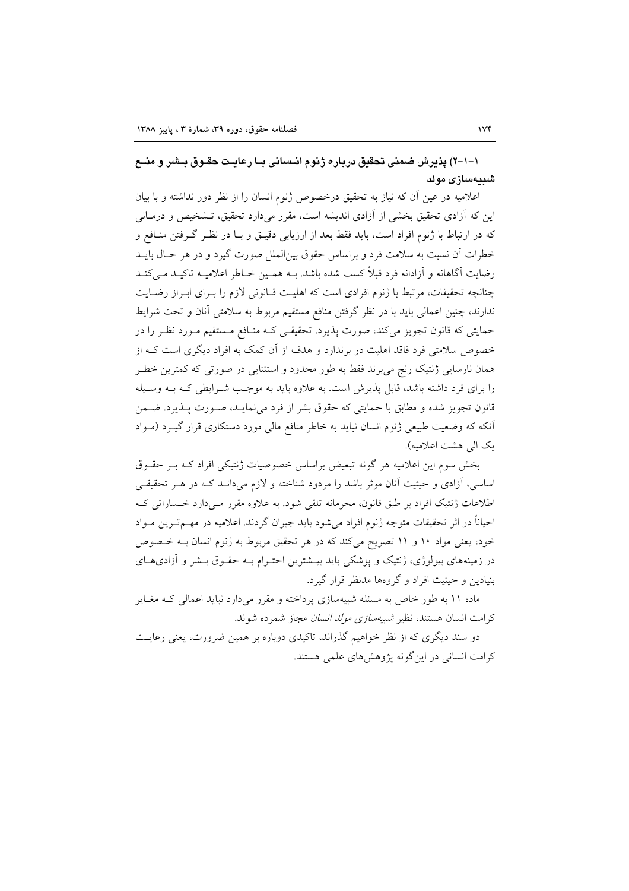١–١-٢) يذيرش ضمني تحقيق درباره ژنوم انـساني بـا رعايـت حقـوق بـشر و منــع شىيەسازى مولد

اعلامیه در عین آن که نیاز به تحقیق درخصوص ژنوم انسان را از نظر دور نداشته و با بیان این که آزادی تحقیق بخشی از آزادی اندیشه است، مقرر می دارد تحقیق، تـشخیص و درمـانی که در ارتباط با ژنوم افراد است، باید فقط بعد از ارزیابی دقیـق و بــا در نظـر گــرفتن منــافع و خطرات آن نسبت به سلامت فرد و براساس حقوق بین|لملل صورت گیرد و در هر حـال بایــد رضایت آگاهانه و آزادانه فرد قبلاً کسب شده باشد. بــه همـین خــاطر اعلامیــه تاکیــد مــی کنــد چنانچه تحقیقات، مرتبط با ژنوم افرادی است که اهلیت قـانونی لازم را بـرای ابـراز رضـایت ندارند، چنین اعمالی باید با در نظر گرفتن منافع مستقیم مربوط به سلامتی آنان و تحت شرایط حمایتی که قانون تجویز میکند، صورت پذیرد. تحقیقـی کـه منـافع مـستقیم مـورد نظـر را در خصوص سلامتی فرد فاقد اهلیت در برندارد و هدف از آن کمک به افراد دیگری است کـه از همان نارسایی ژنتیک رنج می برند فقط به طور محدود و استثنایی در صورتی که کمترین خطـر را برای فرد داشته باشد، قابل پذیرش است. به علاوه باید به موجب شـرایطی کـه بــه وســیله قانون تجويز شده و مطابق با حمايتي كه حقوق بشر از فرد مي نمايـد، صـورت پــذيرد. ضــمن آنکه که وضعیت طبیعی ژنوم انسان نباید به خاطر منافع مالی مورد دستکاری قرار گیـرد (مـواد يک الى هشت اعلاميه).

بخش سوم این اعلامیه هر گونه تبعیض براساس خصوصیات ژنتیکی افراد کـه بـر حقـوق اساسی، آزادی و حیثیت آنان موثر باشد را مردود شناخته و لازم میدانـد کـه در هـر تحقیقـی اطلاعات ژنتیک افراد بر طبق قانون، محرمانه تلقی شود. به علاوه مقرر مے دارد خـساراتی کـه احیاناً در اثر تحقیقات متوجه ژنوم افراد می شود باید جبران گردند. اعلامیه در مهــمتــرین مــواد خود، یعنی مواد ۱۰ و ۱۱ تصریح میکند که در هر تحقیق مربوط به ژنوم انسان بـه خـصوص در زمینههای بیولوژی، ژنتیک و پزشکی باید بیــشترین احتــرام بــه حقــوق بــشر و آزادیهــای بنیادین و حیثیت افراد و گروهها مدنظر قرار گیرد.

ماده ۱۱ به طور خاص به مسئله شبیهسازی پرداخته و مقرر میدارد نباید اعمالی کـه مغـایر كرامت انسان هستند، نظير *شبيهسازى مولد انسان مجا*ز شمرده شوند.

دو سند دیگری که از نظر خواهیم گذراند، تاکیدی دوباره بر همین ضرورت، یعنی رعایت کرامت انسانی در اینگونه پژوهشهای علمی هستند.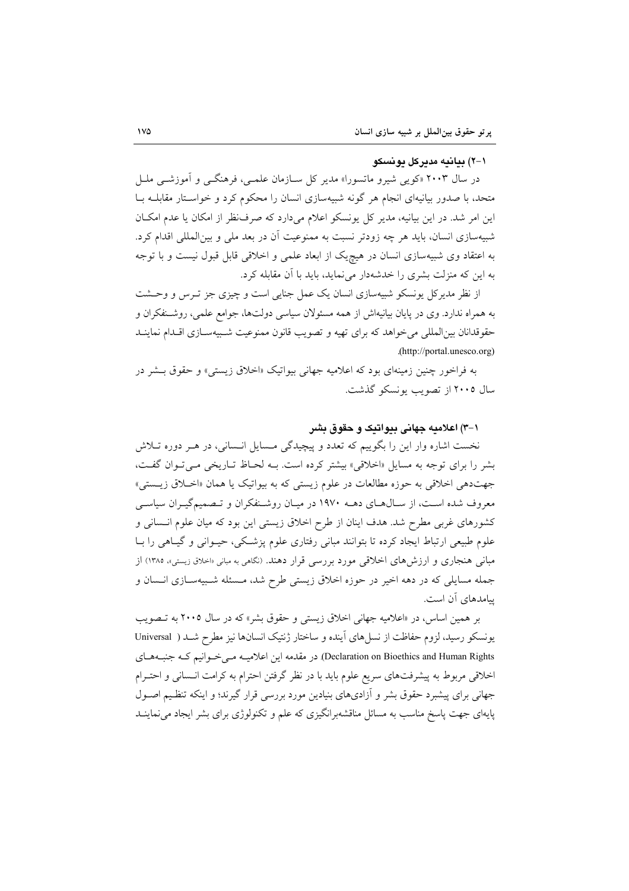#### 1–۲) بیانیه مدیرکل یونسکو

در سال ۲۰۰۳ «کویبی شیرو ماتسورا» مدیر کل سـازمان علمـی، فرهنگــی و آموزشــی ملــل متحد، با صدور بیانیهای انجام هر گونه شبیهسازی انسان را محکوم کرد و خواستار مقابلـه بـا این امر شد. در این بیانیه، مدیر کل پونسکو اعلام میدارد که صرف نظر از امکان یا عدم امکان شبیهسازی انسان، باید هر چه زودتر نسبت به ممنوعیت آن در بعد ملی و بین|لمللی اقدام کرد. به اعتقاد وی شبیهسازی انسان در هیچ یک از ابعاد علمی و اخلاقی قابل قبول نیست و با توجه به این که منزلت بشری را خدشهدار می نماید، باید با آن مقابله کرد.

از نظر مدیرکل یونسکو شبیهسازی انسان یک عمل جنایی است و چیزی جز تـرس و وحــشت به همراه ندارد. وی در پایان بیانیهاش از همه مسئولان سیاسی دولتها، جوامع علمی، روشـنفکران و حقوقدانان بین المللی می خواهد که برای تهیه و تصویب قانون ممنوعیت شـبیهســازی اقــدام نماینــد .(http://portal.unesco.org)

به فراخور چنین زمینهای بود که اعلامیه جهانی بیواتیک «اخلاق زیستی» و حقوق بــشر در سال ۲۰۰۵ از تصویب بونسکو گذشت.

# ۱–۳) اعلامیه جهانی بیوانیک و حقوق بشر

نخست اشاره وار این را بگوییم که تعدد و پیچیدگی مسایل انسانی، در هـر دوره تـلاش بشر را برای توجه به مسایل «اخلاقی» بیشتر کرده است. بـه لحـاظ تـاریخی مـی تـوان گفـت، جهتدهی اخلاقی به حوزه مطالعات در علوم زیستی که به بیواتیک یا همان «اخــلاق زیــستی» معروف شده است، از سـالهـاي دهــه ۱۹۷۰ در ميـان روشـنفكران و تــصميمگيـران سياسـي کشورهای غربی مطرح شد. هدف اینان از طرح اخلاق زیستی این بود که میان علوم انـسانی و علوم طبیعی ارتباط ایجاد کرده تا بتوانند مبانی رفتاری علوم پزشکی، حیـوانی و گیـاهی را بـا مبانی هنجاری و ارزش های اخلاقی مورد بررسی قرار دهند. (نگاهی به مبانی «اخلاق زیستی»، ۱۳۸۵) از جمله مسایلی که در دهه اخیر در حوزه اخلاق زیستی طرح شد، مسئله شبیهسازی انسان و ییامدهای آن است.

بر همین اساس، در «اعلامیه جهانی اخلاق زیستی و حقوق بشر» که در سال ۲۰۰۵ به تصویب يونسكو رسيد، لزوم حفاظت از نسل هاى آينده و ساختار ژنتيك انسانها نيز مطرح شـد ( Universal Declaration on Bioethics and Human Rights) در مقدمه این اعلامیـه مـی خـوانیم کـه جنبـههـای اخلاقی مربوط به پیشرفتهای سریع علوم باید با در نظر گرفتن احترام به کرامت انـسانی و احتـرام جهانی برای پیشبرد حقوق بشر و آزادیهای بنیادین مورد بررسی قرار گیرند؛ و اینکه تنظیم اصـول پایهای جهت پاسخ مناسب به مسائل مناقشهبرانگیزی که علم و تکنولوژی برای بشر ایجاد می نماینــد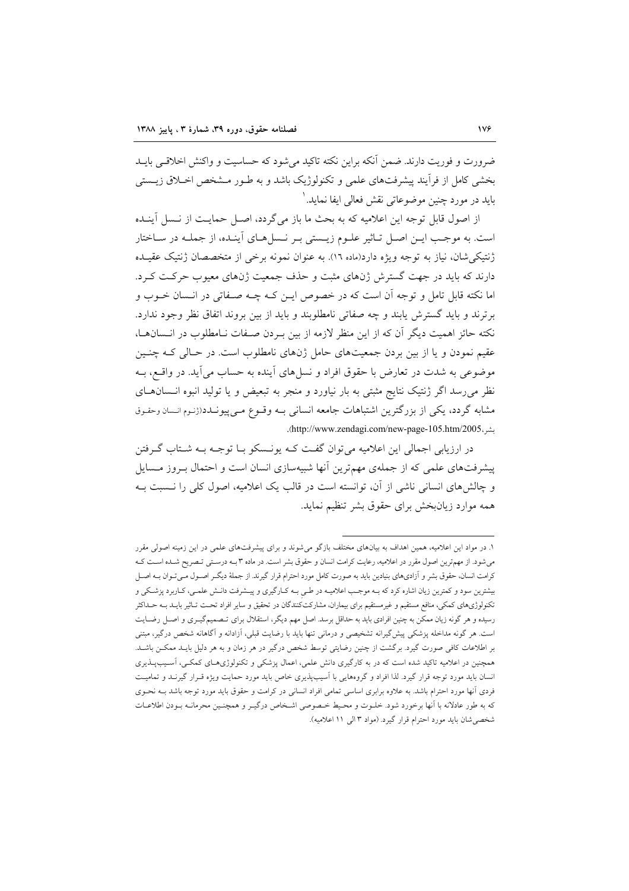ضرورت و فوریت دارند. ضمن آنکه براین نکته تاکید می شود که حساسیت و واکنش اخلاقبی بایــد بخشی کامل از فرآیند پیشرفتهای علمی و تکنولوژیک باشد و به طـور مـشخص اخــلاق زیــستی بايد در مورد چنين موضوعاتي نقش فعالي ايفا نمايد. `

از اصول قابل توجه این اعلامیه که به بحث ما باز می گردد، اصل حمایت از نـسل آینـده است. به موجب ایـن اصـل تـاثیر علـوم زیـستی بـر نـسلهـای آینـده، از جملـه در سـاختار ژنتیکی شان، نیاز به توجه ویژه دارد(ماده ١٦). به عنوان نمونه برخی از متخصصان ژنتیک عقیـده دارند که باید در جهت گسترش ژنهای مثبت و حذف جمعیت ژنهای معیوب حرکت کـرد. اما نکته قابل تامل و توجه اَن است که در خصوص ایــن کــه چــه صــفاتی در انــسان خــوب و برترند و باید گسترش یابند و چه صفاتی نامطلوبند و باید از بین بروند اتفاق نظر وجود ندارد. نکته حائز اهمیت دیگر آن که از این منظر لازمه از بین بـردن صـفات نـامطلوب در انـسانهـا، عقیم نمودن و یا از بین بردن جمعیتهای حامل ژنهای نامطلوب است. در حـالی کـه چنـین موضوعی به شدت در تعارض با حقوق افراد و نسلهای أینده به حساب می آید. در واقــع، بــه نظر میرسد اگر ژنتیک نتایج مثبتی به بار نیاورد و منجر به تبعیض و یا تولید انبوه انـسانهـای مشابه گردد، یکی از بزرگترین اشتباهات جامعه انسانی بـه وقـوع مـیپیونـدد(ژنـوم انـسان وحقـوق بشر، http://www.zendagi.com/new-page-105.htm/2005).

در ارزیابی اجمالی این اعلامیه می توان گفت کـه پونــسکو بــا توجــه بــه شــتاب گــرفتن پیشرفتهای علمی که از جملهی مهمترین أنها شبیهسازی انسان است و احتمال بـروز مـسایل و چالش های انسانی ناشی از آن، توانسته است در قالب یک اعلامیه، اصول کلی را نــسبت بــه همه موارد زیان بخش برای حقوق بشر تنظیم نماید.

۱. در مواد این اعلامیه، همین اهداف به بیانهای مختلف بازگو میشوند و برای پیشرفتهای علمی در این زمینه اصولی مقرر می شود. از مهمترین اصول مقرر در اعلامیه، رعایت کرامت انسان و حقوق بشر است. در ماده ۳ بـه درسـتی تـصریح شـده اسـت کـه کرامت انسان، حقوق بشر و آزادیهای بنیادین باید به صورت کامل مورد احترام قرار گیرند. از جملهٔ دیگـر اصـول مـیتـوان بــه اصـل بیشترین سود و کمترین زیان اشاره کرد که بـه موجـب اعلامیـه در طـي بـه کـارگیري و پیــشرفت دانـش علمـي، کـاربرد پزشـکي و تکنولوژیهای کمکی، منافع مستقیم و غیرمستقیم برای بیماران، مشارکتکنندگان در تحقیق و سایر افراد تحـت تـاثیر بایـد بــه حــداکثر رسیده و هر گونه زیان ممکن به چنین افرادی باید به حداقل برسد. اصل مهم دیگر، استقلال برای تـصمیمگیــری و اصــل رضــایت است. هر گونه مداخله پزشکی پیش گیرانه تشخیصی و درمانی تنها باید با رضایت قبلی، آزادانه و آگاهانه شخص درگیر، مبتنی بر اطلاعات کافی صورت گیرد. برگشت از چنین رضایتی توسط شخص درگیر در هر زمان و به هر دلیل بایـد ممکـن باشـد. همچنین در اعلامیه تاکید شده است که در به کارگیری دانش علمی، اعمال پزشکی و تکنولوژی های کمکـی، آسـیبپــذیری انسان باید مورد توجه قرار گیرد. لذا افراد و گروههایی با آسیبپذیری خاص باید مورد حمایت ویژه قـرار گیرنـد و تمامیـت فردی آنها مورد احترام باشد. به علاوه برابری اساسی تمامی افراد انسانی در کرامت و حقوق باید مورد توجه باشد بـه نحـوی كه به طور عادلانه با آنها برخورد شود. خلـوت و محـيط خـصوصي اشـخاص درگيـر و همچنـين محرمانــه بـودن اطلاعـات شخصی شان باید مورد احترام قرار گیرد. (مواد ۳ الی ۱۱ اعلامیه).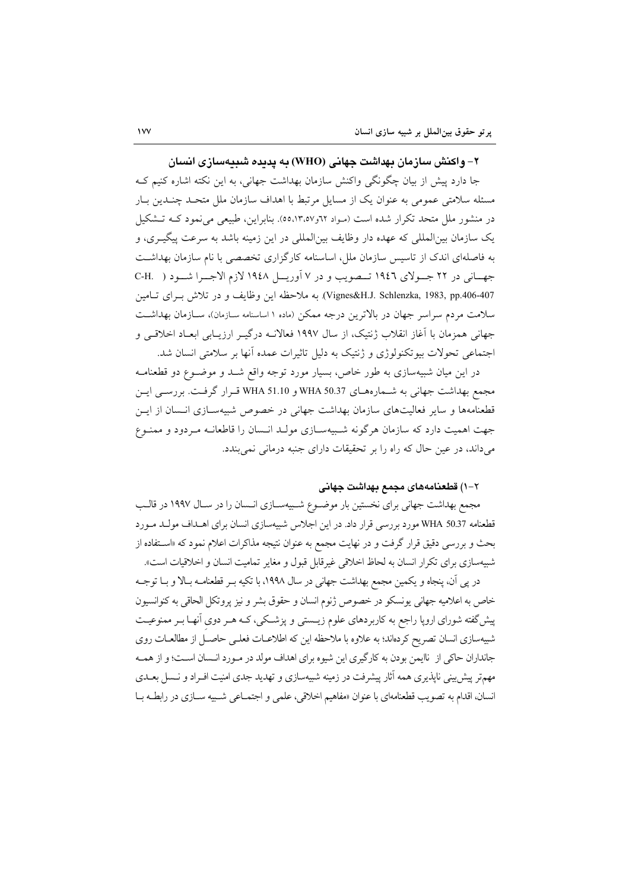۲– و اکنش سازمان پهداشت جهانی (WHO) په پدیده شیپهسازی انسان

جا دارد پیش از بیان چگونگی واکنش سازمان بهداشت جهانی، به این نکته اشاره کنیم ک مسئله سلامتی عمومی به عنوان یک از مسایل مرتبط با اهداف سازمان ملل متحـد چنـدین بـار در منشور ملل متحد تکرار شده است (مـواد ٦٢و٥٥،١٣،٥٧). بنابراین، طبیعی می نمود کـه تـشکیل یک سازمان بین|لمللی که عهده دار وظایف بین|لمللی در این زمینه باشد به سرعت پیگیـری، و به فاصلهای اندک از تاسیس سازمان ملل، اساسنامه کارگزاری تخصصی با نام سازمان بهداشت جهاني در ٢٢ جـولاي ١٩٤٦ تــصويب و در ٧ آوريــل ١٩٤٨ لازم الاجــرا شــود ( .C-H Vignes&H.J. Schlenzka, 1983, pp.406-407). به ملاحظه این وظایف و در تلاش بـرای تـامین سلامت مردم سراسر جهان در بالاترین درجه ممکن (ماده ۱ اساسنامه سـازمان)، سـازمان بهداشـت جهانی همزمان با آغاز انقلاب ژنتیک، از سال ۱۹۹۷ فعالانــه درگیــر ارزیــابی ابعــاد اخلاقــی و اجتماعی تحولات بیوتکنولوژی و ژنتیک به دلیل تاثیرات عمده آنها بر سلامتی انسان شد.

در این میان شبیهسازی به طور خاص، بسیار مورد توجه واقع شــد و موضــوع دو قطعنامــه مجمع بهداشت جهاني به شـمارههـاي WHA 50.37 و WHA 51.10 قـرار گرفـت. بررسـي ايـن قطعنامهها و سایر فعالیتهای سازمان بهداشت جهانی در خصوص شبیهسـازی انـسان از ایـن جهت اهمیت دارد که سازمان هرگونه شـبیهسـازی مولـد انـسان را قاطعانـه مـردود و ممنـوع می داند، در عین حال که راه را بر تحقیقات دارای جنبه درمانی نمی بندد.

### ٢-١) قطعنامههای مجمع بهداشت جهانی

مجمع بهداشت جهانی برای نخستین بار موضـوع شـبیهسـازی انـسان را در سـال ۱۹۹۷ در قالـب قطعنامه 30.37 WHA مورد بررسی قرار داد. در این اجلاس شبیهسازی انسان برای اهـداف مولـد مـورد بحث و بررسی دقیق قرار گرفت و در نهایت مجمع به عنوان نتیجه مذاکرات اعلام نمود که «اسـتفاده از شبیهسازی برای تکرار انسان به لحاظ اخلاقی غیرقابل قبول و مغایر تمامیت انسان و اخلاقیات است».

در پی آن، پنجاه و یکمین مجمع بهداشت جهانی در سال ۱۹۹۸، با تکیه بـر قطعنامــه بــالا و بــا توجــه خاص به اعلامیه جهانی یونسکو در خصوص ژنوم انسان و حقوق بشر و نیز پروتکل الحاقی به کنوانسیون پیش گفته شورای اروپا راجع به کاربردهای علوم زیـستی و پزشـکی، کـه هـر دوی آنهـا بـر ممنوعیـت شبیهسازی انسان تصریح کردهاند؛ به علاوه با ملاحظه این که اطلاعـات فعلـی حاصـل از مطالعـات روی جانداران حاکی از ناایمن بودن به کارگیری این شیوه برای اهداف مولد در مـورد انـسان اسـت؛ و از همـه مهمتر پیش بینی ناپذیری همه آثار پیشرفت در زمینه شبیهسازی و تهدید جدی امنیت افـراد و نــسل بعــدی انسان، اقدام به تصويب قطعنامهاي با عنوان «مفاهيم اخلاقي، علمي و اجتمــاعي شــبيه ســازي در رابطــه بــا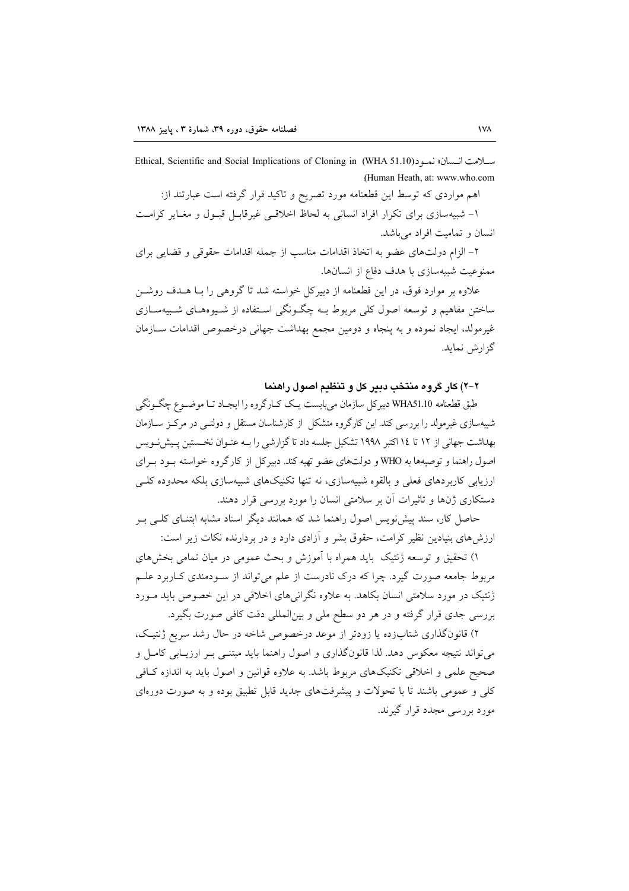سلامت انسان» نمه د (WHA 51.10) Ethical, Scientific and Social Implications of Cloning in (Human Heath, at: www.who.com

اهم مواردی که توسط این قطعنامه مورد تصریح و تاکید قرار گرفته است عبارتند از: ۱- شبیهسازی برای تکرار افراد انسانی به لحاظ اخلاقی غیرقابـل قبـول و مغـایر کرامـت انسان و تمامیت افراد می باشد.

۲– الزام دولتهای عضو به اتخاذ اقدامات مناسب از جمله اقدامات حقوقی و قضایی برای ممنوعیت شبیهسازی با هدف دفاع از انسانها.

علاوه بر موارد فوق، در این قطعنامه از دبیرکل خواسته شد تا گروهی را بـا هــدف روشــن ساختن مفاهیم و توسعه اصول کل<sub>ی</sub> مربوط بــه چگــونگی اســتفاده از شــیوههــای شــبیهســازی غیرمولد، ایجاد نموده و به پنجاه و دومین مجمع بهداشت جهانی درخصوص اقدامات سـازمان گزارش نماید.

٢-٢) كار گروه منتخب دبير كل و تنظيم اصول راهنما

طبق قطعنامه WHA51.10 دبیرکل سازمان می بایست یـک کـارگروه را ایجـاد تـا موضـوع چگـونگی شبیهسازی غیرمولد را بررسی کند. این کارگروه متشکل از کارشناسان مستقل و دولتبی در مرکز ســازمان بهداشت جهانی از ۱۲ تا ۱۶ اکتبر ۱۹۹۸ تشکیل جلسه داد تا گزارشی را بـه عنـوان نخـستین پـیشiنویس اصول راهنما و توصیهها به WHO و دولتهای عضو تهیه کند. دبیر کل از کارگروه خواسته بـود بـرای ارزیابی کاربردهای فعلی و بالقوه شبیهسازی، نه تنها تکنیکهای شبیهسازی بلکه محدوده کلـی دستکاری ژنها و تاثیرات آن بر سلامتی انسان را مورد بررسی قرار دهند.

حاصل کار، سند پیش نویس اصول راهنما شد که همانند دیگر اسناد مشابه ابتنـای کلـی بـر ارزش های بنیادین نظیر کرامت، حقوق بشر و آزادی دارد و در بردارنده نکات زیر است:

۱) تحقیق و توسعه ژنتیک باید همراه با آموزش و بحث عمومی در میان تمامی بخشهای مربوط جامعه صورت گیرد. چرا که درک نادرست از علم می تواند از سـودمندی کـاربرد علـم ژنتیک در مورد سلامتی انسان بکاهد. به علاوه نگرانی های اخلاقی در این خصوص باید مـورد بررسي جدي قرار گرفته و در هر دو سطح ملي و بينالمللي دقت كافي صورت بگيرد.

۲) قانونگذاری شتابزده یا زودتر از موعد درخصوص شاخه در حال رشد سریع ژنتیک، می تواند نتیجه معکوس دهد. لذا قانونگذاری و اصول راهنما باید مبتنـی بـر ارزیـابی کامـل و صحیح علمی و اخلاقی تکنیکهای مربوط باشد. به علاوه قوانین و اصول باید به اندازه کافی کلی و عمومی باشند تا با تحولات و پیشرفتهای جدید قابل تطبیق بوده و به صورت دورهای مورد بررسی مجدد قرار گیرند.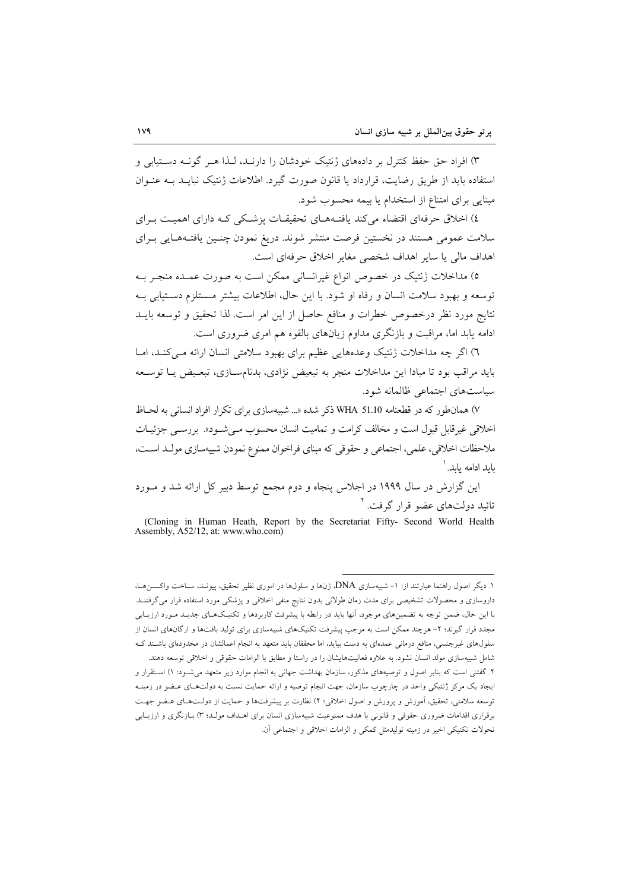۳) افراد حق حفظ کنترل بر دادههای ژنتیک خودشان را دارنـد، لـذا هـر گونـه دسـتیابی و استفاده باید از طریق رضایت، قرارداد با قانون صورت گیرد. اطلاعات ژنتیک نبایید بیه عنبوان مبنایی برای امتناع از استخدام یا بیمه محسوب شود.

٤) اخلاق حرفهای اقتضاء می کند یافتـههــای تحقیقــات پزشــکی کــه دارای اهمیــت بــرای سلامت عمومی هستند در نخستین فرصت منتشر شوند. دریغ نمودن چنـین یافتـههـایی بـرای اهداف مالي يا ساير اهداف شخصي مغاير اخلاق حرفهاي است.

٥) مداخلات ژنتیک در خصوص انواع غیرانسانی ممکن است به صورت عمـده منجـر بـه توسعه و بهبود سلامت انسان و رفاه او شود. با این حال، اطلاعات بیشتر مـستلزم دسـتیابی بـه نتايج مورد نظر درخصوص خطرات و منافع حاصل از اين امر است. لذا تحقيق و توسعه بايــد ادامه يابد اما، مراقبت و بازنگری مداوم زيانهای بالقوه هم امری ضروری است.

٦) اگر چه مداخلات ژنتیک وعدههایی عظیم برای بهبود سلامتی انسان ارائه مـی کنـد، امـا باید مراقب بود تا مبادا این مداخلات منجر به تبعیض نژادی، بدنامسـازی، تبعـیض یـا توسـعه سیاستهای اجتماعی ظالمانه شود.

۷) همانطور که در قطعنامه WHA 51.10 ذکر شده «... شبیهسازی برای تکرار افراد انسانی به لحـاظ اخلاقی غیرقابل قبول است و مخالف کرامت و تمامیت انسان محسوب مے شـود». بررسـبی جزئیـات ملاحظات اخلاقی، علمی، اجتماعی و حقوقی که مبنای فراخوان ممنوع نمودن شبیهسازی مولـد اسـت، بايد ادامه يابد. '

این گزارش در سال ۱۹۹۹ در اجلاس پنجاه و دوم مجمع توسط دبیر کل ارائه شد و مـورد تائید دولتهای عضو قرار گرفت. <sup>۲</sup>

(Cloning in Human Heath, Report by the Secretariat Fifty- Second World Health Assembly, A52/12, at: www.who.com)

۱. دیگر اصول راهنما عبارتند از: ۱– شبیهسازی DNA، ژنها و سلولها در اموری نظیر تحقیق، پیونـد، ســاخت واکــسنهــا، داروسازی و محصولات تشخیصی برای مدت زمان طولانی بدون نتایج منفی اخلاقی و پزشکی مورد استفاده قرار میگرفتنـد. با این حال، ضمن توجه به تضمینهای موجود، آنها باید در رابطه با پیشرفت کاربردها و تکنیـکهـای جدیـد مـورد ارزیـابی مجدد قرار گیرند؛ ۲- هرچند ممکن است به موجب پیشرفت تکنیکهای شبیهسازی برای تولید بافتها و ارگانهای انسان از سلولهای غیرجنسی، منافع درمانی عمدهای به دست بیاید، اما محققان باید متعهد به انجام اعمالشان در محدودهای باشـند ک شامل شبیهسازی مولد انسان نشود. به علاوه فعالیتهایشان را در راستا و مطابق با الزامات حقوقی و اخلاقی توسعه دهند.

۲. گفتنی است که بنابر اصول و توصیههای مذکور، سازمان بهداشت جهانی به انجام موارد زیر متعهد میشود: ۱) استقرار و ایجاد یک مرکز ژنتیکی واحد در چارچوب سازمان، جهت انجام توصیه و ارائه حمایت نسبت به دولتهـای عـضو در زمینـه توسعه سلامتی، تحقیق، آموزش و پرورش و اصول اخلاقی؛ ۲) نظارت بر پیشرفتها و حمایت از دولـتهـای عـضو جهـت برقراری اقدامات ضروری حقوقی و قانونی با هدف ممنوعیت شبیهسازی انسان برای اهـداف مولـد؛ ۳) بـازنگری و ارزیـابی تحولات تكنيكي اخير در زمينه توليدمثل كمكي و الزامات اخلاقي و اجتماعي آن.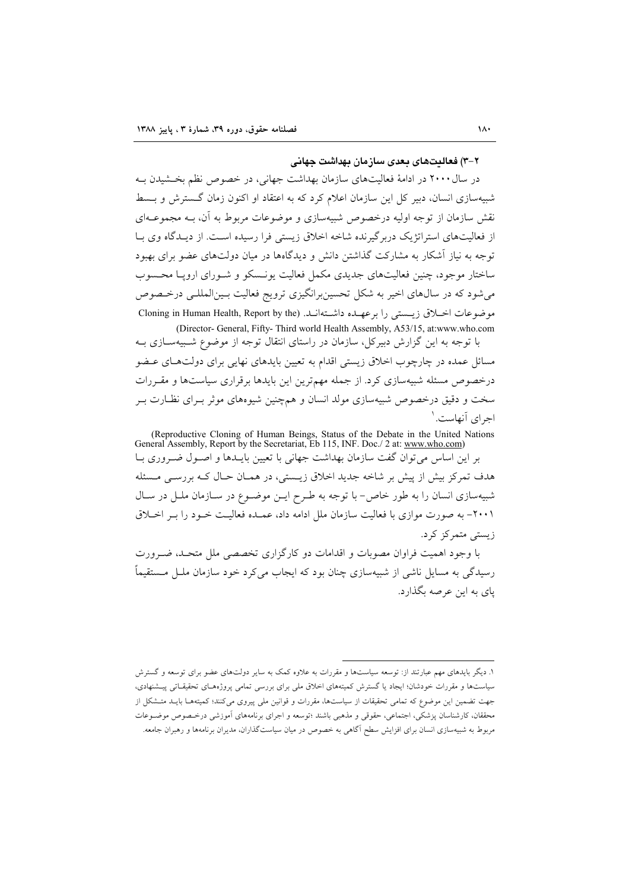#### ۲–۳) فعالیتهای بعدی سازمان بهداشت جهانی

در سال ۲۰۰۰ در ادامهٔ فعالیتهای سازمان بهداشت جهانی، در خصوص نظم بخشیدن به شبیهسازی انسان، دبیر کل این سازمان اعلام کرد که به اعتقاد او اکنون زمان گسترش و بـسط نقش سازمان از توجه اولیه درخصوص شبیهسازی و موضوعات مربوط به آن، بــه مجموعــهای از فعالیتهای استراتژیک دربرگیرنده شاخه اخلاق زیستی فرا رسیده است. از دیـدگاه وی بـا توجه به نیاز آشکار به مشارکت گذاشتن دانش و دیدگاهها در میان دولتهای عضو برای بهبود ساختار موجود، چنین فعالیتهای جدیدی مکمل فعالیت یونسکو و شـورای اروپـا محـسوب می شود که در سال های اخیر به شکل تحسین برانگیزی ترویج فعالیت بـین المللـی درخـصوص موضوعات اخبلاق زيستي را برعهيده داشتهانيد. Cloning in Human Health, Report by the (Director- General, Fifty- Third world Health Assembly, A53/15, at:www.who.com

با توجه به این گزارش دبیرکل، سازمان در راستای انتقال توجه از موضوع شـبیهسـازی بـه مسائل عمده در چارچوب اخلاق زیستی اقدام به تعیین بایدهای نهایی برای دولتهای عـضو درخصوص مسئله شبیهسازی کرد. از جمله مهمترین این بایدها برقراری سیاستها و مقـررات سخت و دقیق درخصوص شبیهسازی مولد انسان و همچنین شبوههای موثر بـرای نظـارت بـر اجرای آنهاست. ۱

(Reproductive Cloning of Human Beings, Status of the Debate in the United Nations General Assembly, Report by the Secretariat, Eb 115, INF. Doc./2 at: www.who.com) بر این اساس می توان گفت سازمان بهداشت جهانی با تعیین بایــدها و اصــول ضــروری بــا هدف تمرکز بیش از پیش بر شاخه جدید اخلاق زیــستی، در همـان حـال کـه بررســی مــسئله شبیهسازی انسان را به طور خاص- با توجه به طـرح ایــن موضــوع در ســازمان ملــل در ســال ۲۰۰۱– به صورت موازی با فعالیت سازمان ملل ادامه داد، عمـده فعالیـت خـود را بـر اخـلاق زیستی متمرکز کرد.

با وجود اهمیت فراوان مصوبات و اقدامات دو کارگزاری تخصصی ملل متحـد، ضـرورت رسیدگی به مسایل ناشی از شبیهسازی چنان بود که ایجاب می کرد خود سازمان ملـل مـستقیماً ياي به اين عرصه بگذارد.

۱. دیگر بایدهای مهم عبارتند از: توسعه سیاستها و مقررات به علاوه کمک به سایر دولتهای عضو برای توسعه و گسترش سیاستها و مقررات خودشان؛ ایجاد یا گسترش کمیتههای اخلاق ملی برای بررسی تمامی پروژههای تحقیقاتی پیشنهادی، جهت تضمین این موضوع که تمامی تحقیقات از سیاستها، مقررات و قوانین ملی پیروی میکنند؛ کمیتههـا بایــد متـشکل از محققان، كارشناسان پزشكي، اجتماعي، حقوقي و مذهبي باشند ؛توسعه و اجراي برنامههاي آموزشي درخىصوص موضـوعات مربوط به شبیهسازی انسان برای افزایش سطح آگاهی به خصوص در میان سیاستگذاران، مدیران برنامهها و رهبران جامعه.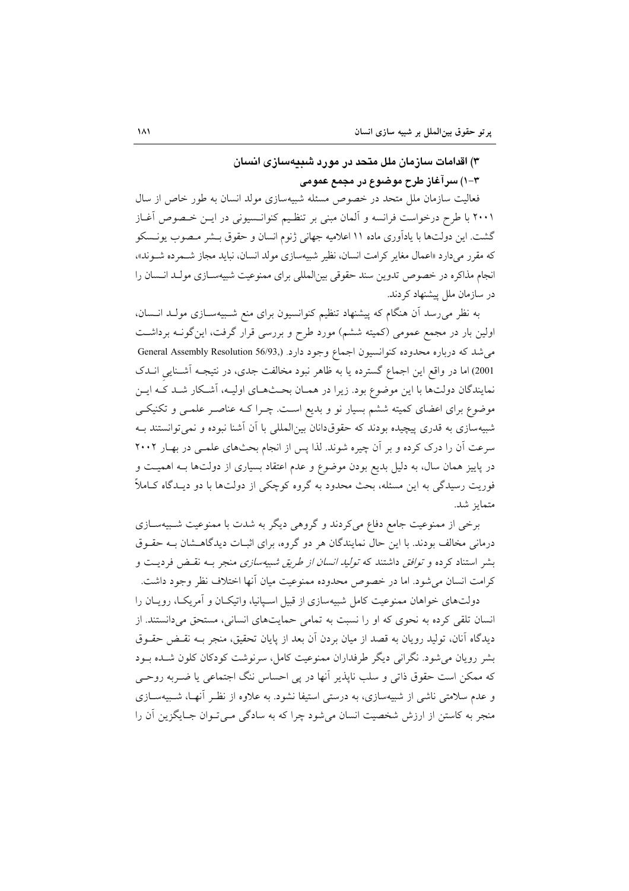# ۳) اقدامات سازمان ملل متحد در مورد شییهسازی انسان ٣–١) سر آغاز طرح موضوع در مجمع عمومي

فعالیت سازمان ملل متحد در خصوص مسئله شبیهسازی مولد انسان به طور خاص از سال ۲۰۰۱ با طرح درخواست فرانسه و آلمان مبنی بر تنظیم کنوانـسیونی در ایــن خـصوص آغــاز گشت. این دولتها با یادآوری ماده ۱۱ اعلامیه جهانی ژنوم انسان و حقوق بــشر مـصوب یونــسکو که مقرر میدارد «اعمال مغایر کرامت انسان، نظیر شبیهسازی مولد انسان، نباید مجاز شـمرده شـوند»، انجام مذاکره در خصوص تدوین سند حقوقی بین(لمللی برای ممنوعیت شبیهسـازی مولـد انـسان را در سازمان ملل پیشنهاد کردند.

به نظر میرسد آن هنگام که پیشنهاد تنظیم کنوانسیون برای منع شـبیهسـازی مولـد انــسان، اولین بار در مجمع عمومی (کمیته ششم) مورد طرح و بررسی قرار گرفت، این گونـه برداشـت می شد که درباره محدوده کنوانسیون اجماع وجود دارد. (General Assembly Resolution 56/93, 2001) اما در واقع این اجماع گسترده یا به ظاهر نبود مخالفت جدی، در نتیجـه آشـنایی انـدک نمایندگان دولتها با این موضوع بود. زیرا در همـان بحـثهـای اولیـه، اَشـكار شـد كَـه ایـن موضوع برای اعضای کمیته ششم بسیار نو و بدیع است. چـرا کـه عناصـر علمـی و تکنیکـی شبیهسازی به قدری پیچیده بودند که حقوقدانان بین المللی با آن آشنا نبوده و نمی توانستند بـه سرعت آن را درک کرده و بر آن چیره شوند. لذا پس از انجام بحثهای علمـی در بهـار ۲۰۰۲ در پاییز همان سال، به دلیل بدیع بودن موضوع و عدم اعتقاد بسیاری از دولتها بـه اهمیـت و فوریت رسیدگی به این مسئله، بحث محدود به گروه کوچکی از دولتها با دو دیـدگاه کـاملاً متمايز شد.

برخی از ممنوعیت جامع دفاع می کردند و گروهی دیگر به شدت با ممنوعیت شـبیهسـازی درمانی مخالف بودند. با این حال نمایندگان هر دو گروه، برای اثبـات دیدگاهـشان بـه حقـوق بشر استناد کرده و *توافق د*اشتند که *تولید انسان از طریق شبیهسازی* منجر بـه نقـض فردیـت و كرامت انسان مى شود. اما در خصوص محدوده ممنوعيت ميان آنها اختلاف نظر وجود داشت.

دولتهای خواهان ممنوعیت کامل شبیهسازی از قبیل اسـیانیا، واتیکـان و آمریکـا، رویـان را انسان تلقی کرده به نحوی که او را نسبت به تمامی حمایتهای انسانی، مستحق می دانستند. از دیدگاه آنان، تولید رویان به قصد از میان بردن آن بعد از پایان تحقیق، منجر بـه نقـض حقـوق بشر رويان مي شود. نگراني ديگر طرفداران ممنوعيت كامل، سرنوشت كودكان كلون شـده بـود که ممکن است حقوق ذاتی و سلب ناپذیر آنها در پی احساس ننگ اجتماعی یا ضـربه روحـی و عدم سلامتی ناشی از شبیهسازی، به درستی استیفا نشود. به علاوه از نظـر آنهـا، شـبیهســازی منجر به کاستن از ارزش شخصیت انسان می شود چرا که به سادگی مـی تـوان جـایگزین آن را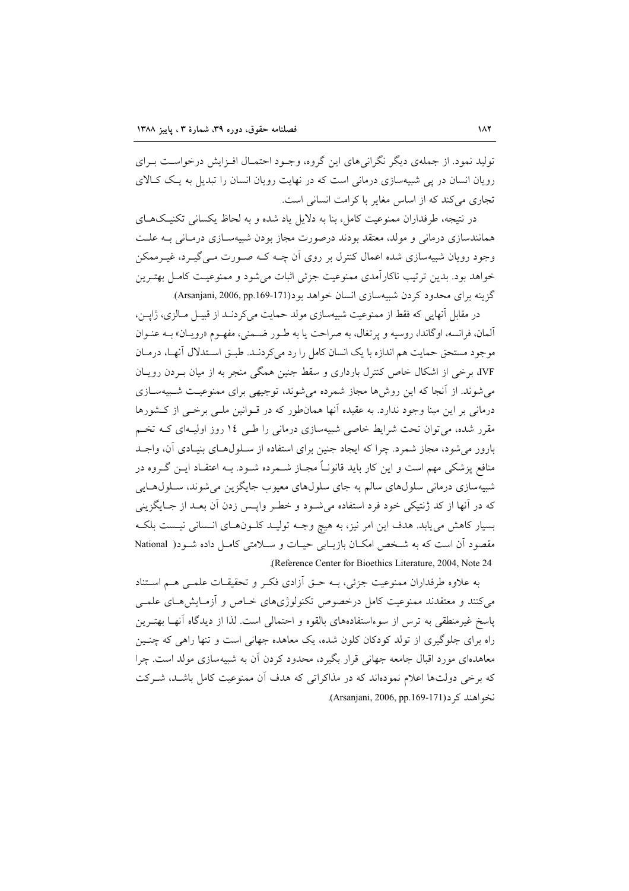تولید نمود. از جملهی دیگر نگرانی های این گروه، وجـود احتمـال افـزایش درخواسـت بـرای رویان انسان در پی شبیهسازی درمانی است که در نهایت رویان انسان را تبدیل به یک کـالای تجاری می کند که از اساس مغایر با کرامت انسانی است.

در نتیجه، طرفداران ممنوعیت کامل، بنا به دلایل یاد شده و به لحاظ یکسانی تکنیکهـای همانندسازی درمانی و مولد، معتقد بودند درصورت مجاز بودن شبیهسـازی درمـانی بـه علـت وجود رویان شبیهسازی شده اعمال کنترل بر روی آن چـه کـه صـورت مـی گیـرد، غیـرممکن خواهد بود. بدین ترتیب ناکارآمدی ممنوعیت جزئی اثبات می شود و ممنوعیـت کامـل بهتـرین گزینه برای محدود کردن شبیهسازی انسان خواهد بود(171-169, pp.169). Arsanjani, 2006, pp.169).

در مقابل أنهايي كه فقط از ممنوعيت شبيهسازي مولد حمايت مي كردنـد از قبيـل مـالزي، ژاپــن، آلمان، فرانسه، اوگاندا، روسیه و پرتغال، به صراحت یا به طـور ضـمنی، مفهـوم «رویـان» بــه عنـوان موجود مستحق حمایت هم اندازه با یک انسان کامل را رد می کردنـد. طبــق اســتدلال آنهــا، درمــان IVF، برخی از اشکال خاص کنترل بارداری و سقط جنین همگی منجر به از میان بـردن رویـان می شوند. از آنجا که این روش۵ا مجاز شمرده می شوند، توجیهی برای ممنوعیت شـبیهسـازی درمانی بر این مبنا وجود ندارد. به عقیده آنها همانطور که در قـوانین ملـی برخـی از کـشورها مقرر شده، می توان تحت شرایط خاصی شبیهسازی درمانی را طبی ١٤ روز اولیـهای کـه تخـم بارور می شود، مجاز شمرد. چرا که ایجاد جنین برای استفاده از سـلولهـای بنیـادی آن، واجـد منافع پزشکی مهم است و این کار باید قانونـاً مجـاز شــمرده شــود. بــه اعتقــاد ایــن گــروه در شبیهسازی درمانی سلولهای سالم به جای سلولهای معیوب جایگزین میشوند، سـلولهـایی که در آنها از کد ژنتیکی خود فرد استفاده میشود و خطـر واپـس زدن آن بعـد از جـایگزینی بسیار کاهش می یابد. هدف این امر نیز، به هیچ وجـه تولیـد کلـونهـای انـسانی نیـست بلکـه مقصود آن است که به شخص امکان بازیـابی حیـات و سـلامتی کامـل داده شـود( National (Reference Center for Bioethics Literature, 2004, Note 24

به علاوه طرفداران ممنوعیت جزئی، بـه حـق آزادی فکـر و تحقیقـات علمـی هـم اسـتناد می کنند و معتقدند ممنوعیت کامل درخصوص تکنولوژیهای خـاص و آزمـایشهـای علمـی یاسخ غیرمنطقی به ترس از سوءاستفادههای بالقوه و احتمالی است. لذا از دیدگاه آنهـا بهتـرین راه برای جلوگیری از تولد کودکان کلون شده، یک معاهده جهانی است و تنها راهی که چنسین معاهدهای مورد اقبال جامعه جهانی قرار بگیرد، محدود کردن آن به شبیهسازی مولد است. چرا که برخی دولتها اعلام نمودهاند که در مذاکراتی که هدف آن ممنوعیت کامل باشـد، شـرکت نخو اهند کے د(Arsanjani, 2006, pp.169-171).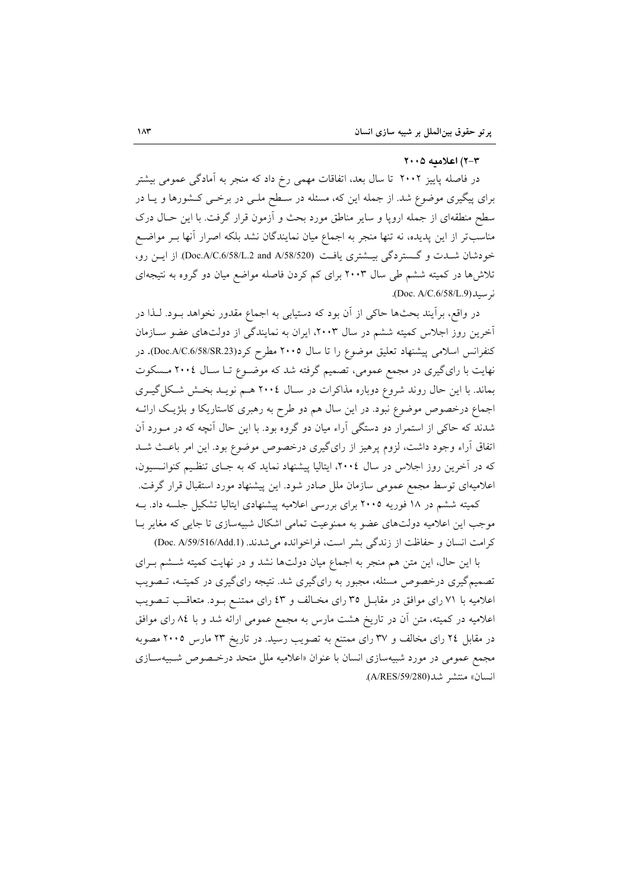#### ٣-٣) اعلاميه ٢٠٠٥

در فاصله پاییز ۲۰۰۲ تا سال بعد، اتفاقات مهمی رخ داد که منجر به آمادگی عمومی بیشتر برای پیگیری موضوع شد. از جمله این که، مسئله در سـطح ملـی در برخـی کـشورها و یــا در سطح منطقهای از جمله اروپا و سایر مناطق مورد بحث و آزمون قرار گرفت. با این حـال درک مناسبتر از این پدیده، نه تنها منجر به اجماع میان نمایندگان نشد بلکه اصرار آنها بـر مواضـع خودشان شــدت و گـستردگی بیــشتری یافـت (Doc.A/C.6/58/L.2 and A/58/520) از ایــن رو، تلاشها در کمیته ششم طی سال ۲۰۰۳ برای کم کردن فاصله مواضع میان دو گروه به نتیجهای ن سىلە(Doc. A/C.6/58/L.9).

در واقع، برأيند بحثها حاكي از آن بود كه دستيابي به اجماع مقدور نخواهد بــود. لــذا در آخرین روز اجلاس کمیته ششم در سال ۲۰۰۳، ایران به نمایندگی از دولتهای عضو سـازمان كنفرانس اسلامي پيشنهاد تعليق موضوع را تا سال ٢٠٠٥ مطرح كرد(Doc.A/C.6/58/SR.23). در نهایت با رایگیری در مجمع عمومی، تصمیم گرفته شد که موضـوع تـا سـال ٢٠٠٤ مـسکوت بماند. با این حال روند شروع دوباره مذاکرات در سـال ٢٠٠٤ هـم نویـد بخـش شـکل گیـری اجماع درخصوص موضوع نبود. در این سال هم دو طرح به رهبری کاستاریکا و بلژیک ارائـه شدند که حاکی از استمرار دو دستگی آراء میان دو گروه بود. با این حال آنچه که در مـورد آن اتفاق آراء وجود داشت، لزوم پرهيز از راي گيري درخصوص موضوع بود. اين امر باعث شـد که در آخرین روز اجلاس در سال ۲۰۰٤، ایتالیا پیشنهاد نماید که به جـای تنظـیم کنوانـسیون، اعلامیهای توسط مجمع عمومی سازمان ملل صادر شود. این پیشنهاد مورد استقبال قرار گرفت. کمیته ششم در ۱۸ فوریه ۲۰۰۵ برای بررسی اعلامیه پیشنهادی ایتالیا تشکیل جلسه داد. بـه

موجب این اعلامیه دولتهای عضو به ممنوعیت تمامی اشکال شبیهسازی تا جایی که مغایر بـا كرامت انسان و حفاظت از زندگى بشر است، فراخوانده مى شدند. (Doc. A/59/516/Add.1)

با این حال، این متن هم منجر به اجماع میان دولتها نشد و در نهایت کمیته شــشم بـرای تصمیمگیری درخصوص مسئله، مجبور به رایگیری شد. نتیجه رایگیری در کمیتـه، تــصویب اعلامیه با ۷۱ رای موافق در مقابـل ۳۵ رای مخـالف و ٤٣ رای ممتنــع بـود. متعاقـب تــصويب اعلامیه در کمیته، متن آن در تاریخ هشت مارس به مجمع عمومی ارائه شد و با ۸٤ رای موافق در مقابل ۲٤ رای مخالف و ۳۷ رای ممتنع به تصویب رسید. در تاریخ ۲۳ مارس ۲۰۰۵ مصوبه مجمع عمومی در مورد شبیهسازی انسان با عنوان «اعلامیه ملل متحد درخصوص شبیهسازی انسان» منتشر شد(A/RES/59/280).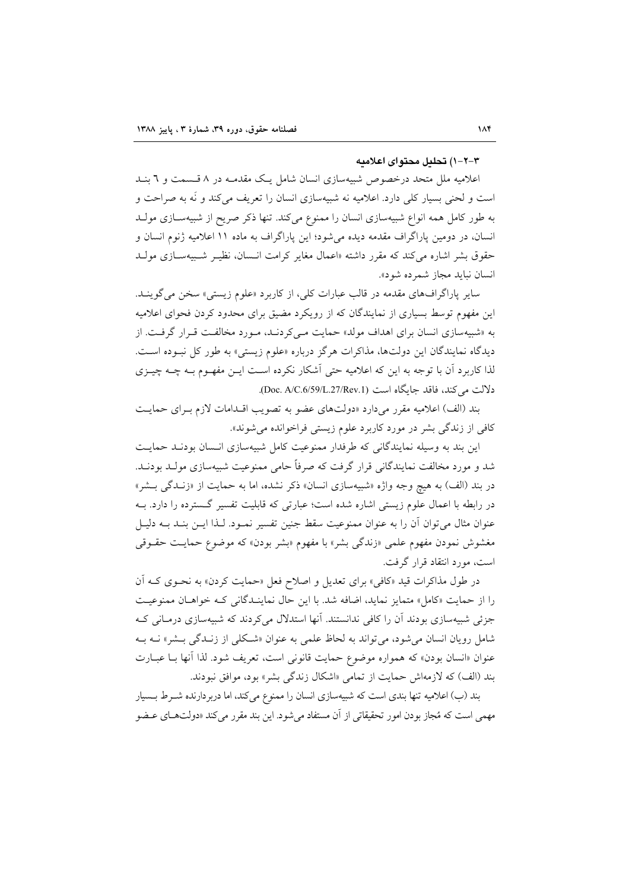#### ۳–۲–۱) تحلیل محتوای اعلامیه

اعلامیه ملل متحد درخصوص شبیهسازی انسان شامل یک مقدمـه در ۸ قـسمت و ٦ بنـد است و لحنی بسیار کلی دارد. اعلامیه نه شبیهسازی انسان را تعریف میکند و نَه به صراحت و به طور کامل همه انواع شبیهسازی انسان را ممنوع میکند. تنها ذکر صریح از شبیهسـازی مولـد انسان، در دومین پاراگراف مقدمه دیده میشود؛ این پاراگراف به ماده ۱۱ اعلامیه ژنوم انسان و حقوق بشر اشاره می کند که مقرر داشته «اعمال مغایر کرامت انسان، نظیـر شـبیهسـازی مولـد انسان نبايد مجاز شمرده شود».

ساير پاراگرافهاي مقدمه در قالب عبارات كلي، از كاربرد «علوم زيستي» سخن مي گوينــد. این مفهوم توسط بسیاری از نمایندگان که از رویکرد مضیق برای محدود کردن فحوای اعلامیه به «شبیهسازی انسان برای اهداف مولد» حمایت مـی کردنـد، مـورد مخالفـت قـرار گرفـت. از دیدگاه نمایندگان این دولتها، مذاکرات هرگز درباره «علوم زیستی» به طور کل نبوده است. لذا کاربرد آن با توجه به این که اعلامیه حتی آشکار نکرده است ایــن مفهــوم بــه چــه چیــزی دلالت می کند، فاقد جایگاه است (Doc. A/C.6/59/L.27/Rev.1).

بند (الف) اعلامیه مقرر میدارد «دولتهای عضو به تصویب اقــدامات لازم بــرای حمایــت کافی از زندگی بشر در مورد کاربرد علوم زیستی فراخوانده می شوند».

این بند به وسیله نمایندگانی که طرفدار ممنوعیت کامل شبیهسازی انـسان بودنـد حمایـت شد و مورد مخالفت نمایندگانی قرار گرفت که صرفاً حامی ممنوعیت شبیهسازی مولـد بودنـد. در بند (الف) به هيچ وجه واژه «شبيهسازي انسان» ذكر نشده، اما به حمايت از «زنـدگي بـشر» در رابطه با اعمال علوم زیستی اشاره شده است؛ عبارتی که قابلیت تفسیر گسترده را دارد. بـه عنوان مثال میتوان آن را به عنوان ممنوعیت سقط جنین تفسیر نمـود. لـذا ایــن بنــد بــه دلیــل مغشوش نمودن مفهوم علمی «زندگی بشر» با مفهوم «بشر بودن» که موضوع حمایـت حقــوقی است، مورد انتقاد قرار گرفت.

در طول مذاکرات قید «کافی» برای تعدیل و اصلاح فعل «حمایت کردن» به نحـوی کــه آن را از حمایت «کامل» متمایز نماید، اضافه شد. با این حال نماینـدگانی کـه خواهـان ممنوعیـت جزئی شبیهسازی بودند آن را کافی ندانستند. آنها استدلال می کردند که شبیهسازی درمیانی کیه شامل رویان انسان میشود، میتواند به لحاظ علمی به عنوان «شکلی از زنـدگی بـشر» نـه بـه عنوان «انسان بودن» که همواره موضوع حمایت قانونی است، تعریف شود. لذا آنها بــا عبــارت بند (الف) که لازمهاش حمایت از تمامی «اشکال زندگی بشر» بود، موافق نبودند.

بند (ب) اعلامیه تنها بندی است که شبیهسازی انسان را ممنوع میکند، اما دربردارنده شـرط بـسیار مهمی است که مُجاز بودن امور تحقیقاتی از آن مستفاد میشود. این بند مقرر میکند «دولتهـای عـضو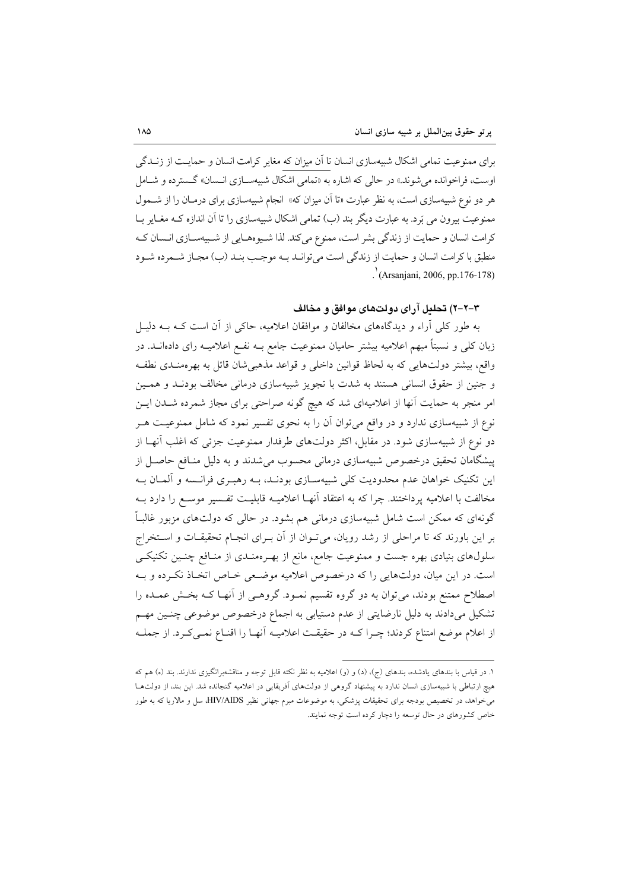برای ممنوعیت تمامی اشکال شبیهسازی انسان تا آن میزان که مغایر کرامت انسان و حمایـت از زنــدگی اوست، فراخوانده می شوند.» در حالی که اشاره به «تمامی اشکال شبیهسـازی انـسان» گـسترده و شـامل هر دو نوع شبیهسازی است، به نظر عبارت «تا آن میزان که» انجام شبیهسازی برای درمـان را از شــمول ممنوعیت بیرون می بَرد. به عبارت دیگر بند (ب) تمامی اشکال شبیهسازی را تا اَن اندازه کـه مغـایر بــا كرامت انسان و حمايت از زندگي بشر است، ممنوع مي كند. لذا شـيوههـايي از شـييهســازي انــسان كــه منطبق با كرامت انسان و حمايت از زندگي است مي توانـد بـه موجـب بنـد (ب) مجـاز شـمرده شـود  $\int ($ Arsanjani, 2006, pp.176-178)

## ۳-۲-۲) تحليل آراي دولتهاي موافق و مخالف

به طور کلی آراء و دیدگاههای مخالفان و موافقان اعلامیه، حاکی از آن است کـه بــه دلیــل زبان کلی و نسبتاً مبهم اعلامیه بیشتر حامیان ممنوعیت جامع بــه نفــع اعلامیــه رای دادهانــد. در واقع، بیشتر دولتهایی که به لحاظ قوانین داخلی و قواعد مذهبیشان قائل به بهرهمنـدی نطفـه و جنین از حقوق انسانی هستند به شدت با تجویز شبیهسازی درمانی مخالف بودنـد و همـین امر منجر به حمایت آنها از اعلامیهای شد که هیچ گونه صراحتی برای مجاز شمرده شــدن ایــن نوع از شبیهسازی ندارد و در واقع می توان آن را به نحوی تفسیر نمود که شامل ممنوعیت هـر دو نوع از شبیهسازی شود. در مقابل، اکثر دولتهای طرفدار ممنوعیت جزئی که اغلب آنهـا از پیشگامان تحقیق درخصوص شبیهسازی درمانی محسوب می شدند و به دلیل منـافع حاصـل از این تکنیک خواهان عدم محدودیت کلی شبیهسـازی بودنـد، بــه رهبـری فرانـسه و آلمــان بــه مخالفت با اعلامیه پرداختند. چرا که به اعتقاد آنهـا اعلامیــه قابلیــت تفـسیر موسـع را دارد بــه گونهای که ممکن است شامل شبیهسازی درمانی هم بشود. در حالی که دولتهای مزبور غالباً بر این باورند که تا مراحلی از رشد رویان، می تـوان از آن بـرای انجـام تحقیقـات و اسـتخراج سلولهای بنیادی بهره جست و ممنوعیت جامع، مانع از بهـرهمنـدی از منـافع چنـین تکنیکـی است. در این میان، دولتهایی را که درخصوص اعلامیه موضعی خـاص اتخـاذ نکـرده و بـه اصطلاح ممتنع بودند، می توان به دو گروه تقسیم نمـود. گروهـی از آنهـا کـه بخـش عمـده را تشکیل میدادند به دلیل نارضایتی از عدم دستیابی به اجماع درخصوص موضوعی چنسین مهم از اعلام موضع امتناع كردند؛ چـرا كــه در حقيقــت اعلاميــه آنهــا را اقنــاع نمــىكـرد. از جملــه

۱. در قیاس با بندهای یادشده، بندهای (ج)، (د) و (و) اعلامیه به نظر نکته قابل توجه و مناقشهبرانگیزی ندارند. بند (ه) هم که هیچ ارتباطی با شبیهسازی انسان ندارد به پیشنهاد گروهی از دولتهای اَفریقایی در اعلامیه گنجانده شد. این بند، از دولتها می خواهد، در تخصیص بودجه برای تحقیقات پزشکی، به موضوعات مبرم جهانی نظیر HIV/AIDS سل و مالاریا که به طور خاص کشورهای در حال توسعه را دچار کرده است توجه نمایند.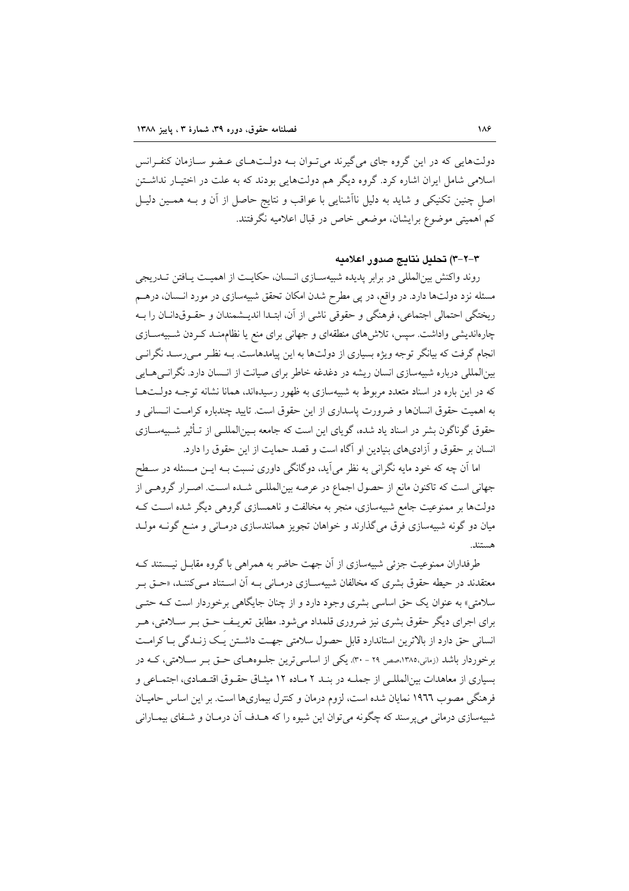دولتهایی که در این گروه جای می گیرند می تـوان بــه دولــتهــای عـضو ســازمان کنفـرانس اسلامی شامل ایران اشاره کرد. گروه دیگر هم دولتهایی بودند که به علت در اختیـار نداشــتن اصل چنین تکنیکی و شاید به دلیل ناأشنایی با عواقب و نتایج حاصل از آن و بـه همـین دلیـل کم اهمیتی موضوع برایشان، موضعی خاص در قبال اعلامیه نگرفتند.

٣-٢-٣) تحليل نتايج صدور إعلاميه

روند واکنش بینالمللی در برابر پدیده شبیهسـازی انـسان، حکایـت از اهمیـت یـافتن تــدریجی مسئله نزد دولتها دارد. در واقع، در پی مطرح شدن امکان تحقق شبیهسازی در مورد انـسان، درهـم ريختگي احتمالي اجتماعي، فرهنگي و حقوقي ناشي از آن، ابتـدا انديــشمندان و حقــوق‹انــان را بــه چارەاندیشی واداشت. سپس، تلاش۵های منطقهای و جهانی برای منع یا نظامهنـد کـردن شـبیهسـازی انجام گرفت که بیانگر توجه ویژه بسیاری از دولتها به این پیامدهاست. بـه نظـر مـه رسـد نگرانـی بینالمللی درباره شبیهسازی انسان ریشه در دغدغه خاطر برای صیانت از انـسان دارد. نگرانـی۵ـایی که در این باره در اسناد متعدد مربوط به شبیهسازی به ظهور رسیدهاند، همانا نشانه توجــه دولــتهــا به اهمیت حقوق انسانها و ضرورت پاسداری از این حقوق است. تایید چندباره کرامت انـسانی و حقوق گوناگون بشر در اسناد یاد شده، گویای این است که جامعه بـینالمللـی از تـأثیر شـبیهسـازی انسان بر حقوق و آزادیهای بنیادین او آگاه است و قصد حمایت از این حقوق را دارد.

اما آن چه که خود مایه نگرانی به نظر میآید، دوگانگی داوری نسبت بـه ایــن مــسئله در ســطح جهانی است که تاکنون مانع از حصول اجماع در عرصه بینالمللـی شـده اسـت. اصـرار گروهـی از دولتها بر ممنوعیت جامع شبیهسازی، منجر به مخالفت و ناهمسازی گروهی دیگر شده است ک میان دو گونه شبیهسازی فرق می گذارند و خواهان تجویز همانندسازی درمـانی و منـع گونــه مولــد هستند.

طرفداران ممنوعیت جزئی شبیهسازی از آن جهت حاضر به همراهی با گروه مقابـل نیـستند کـه معتقدند در حیطه حقوق بشری که مخالفان شبیهسـازی درمـانی بــه اَن اســتناد مــیکننــد، «حــق بــر سلامتي» به عنوان يک حق اساسي بشري وجود دارد و از چنان جايگاهي برخوردار است کــه حتــي برای اجرای دیگر حقوق بشری نیز ضروری قلمداد می شود. مطابق تعریـف حــق بــر ســلامتی، هــر انسانی حق دارد از بالاترین استاندارد قابل حصول سلامتی جهت داشتن یک زنـدگی بـا کرامـت برخوردار باشد (زمانی،۱۳۸۵،صص ۲۹ - ۳۰). یکی از اساسی ترین جلـوههـای حـق بـر سـلامتی، کـه در بسیاری از معاهدات بینالمللی از جملـه در بنـد ۲ مـاده ۱۲ میثـاق حقـوق اقتـصادی، اجتمـاعی و فرهنگی مصوب ۱۹٦٦ نمایان شده است، لزوم درمان و کنترل بیماریها است. بر این اساس حامیـان شبیهسازی درمانی می پرسند که چگونه می توان این شیوه را که هــدف آن درمــان و شــفای بیمــارانی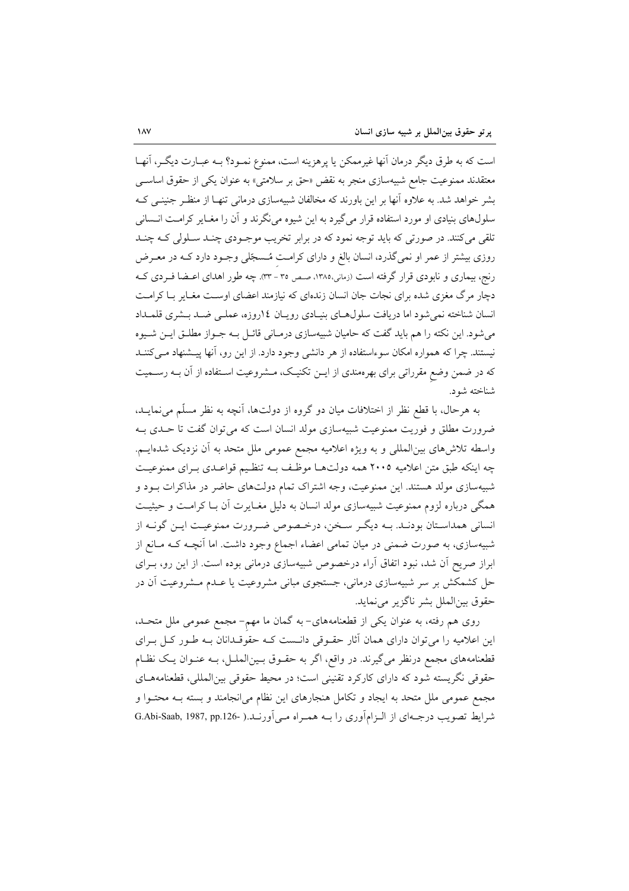است که به طرق دیگر درمان آنها غیرممکن یا پرهزینه است، ممنوع نمـود؟ بـه عبــارت دیگــر، آنهــا معتقدند ممنوعیت جامع شبیهسازی منجر به نقض «حق بر سلامتی» به عنوان یکی از حقوق اساسی بشر خواهد شد. به علاوه آنها بر این باورند که مخالفان شبیهسازی درمانی تنهـا از منظـر جنینـی کـه سلولهای بنیادی او مورد استفاده قرار میگیرد به این شیوه می نگرند و آن را مغـایر کرامـت انـسانی <mark>تلقی میکنند. در صورتی که باید توجه نمود که در</mark> برابر تخریب موجـودی چنـد ســلولی کــه چنــد روزی بیشتر از عمر او نمیگذرد، انسان بالغ و دارای کرامت مُـسجّلی وجـود دارد کــه در معـرض رنج، بیماری و نابودی قرار گرفته است (زمانی،۱۳۸۵، صص ۳۵ - ۳۳). چه طور اهدای اعـضا فـردی کـه دچار مرگ مغزی شده برای نجات جان انسان زندهای که نیازمند اعضای اوست مغـایر بـا کرامـت انسان شناخته نمی شود اما دریافت سلول های بنیادی رویان ١٤روزه، عملـی ضـد بـشری قلمـداد می شود. این نکته را هم باید گفت که حامیان شبیهسازی درمـانی قائـل بـه جـواز مطلـق ایــن شــیوه نیستند. چرا که همواره امکان سوءاستفاده از هر دانشی وجود دارد. از این رو، آنها پیـشنهاد مـی کننــد که در ضمن وضع مقرراتی برای بهرهمندی از ایــن تکنیـک، مــشروعیت اســتفاده از آن بــه رســمیت شناخته شود.

به هرحال، با قطع نظر از اختلافات میان دو گروه از دولتها، آنچه به نظر مسلَّم می نمایــد، ضرورت مطلق و فوریت ممنوعیت شبیهسازی مولد انسان است که می توان گفت تا حـدی بـه واسطه تلاش(های بین|لمللی و به ویژه اعلامیه مجمع عمومی ملل متحد به آن نزدیک شدهایــم. چه اینکه طبق متن اعلامیه ٢٠٠٥ همه دولتها موظف بـه تنظیم قواعـدی بـرای ممنوعیـت شبیهسازی مولد هستند. این ممنوعیت، وجه اشتراک تمام دولتهای حاضر در مذاکرات بـود و همگی درباره لزوم ممنوعیت شبیهسازی مولد انسان به دلیل مغـایرت آن بـا کرامـت و حیثیـت انسانی همداستان بودنـد. بـه دیگـر سـخن، درخـصوص ضـرورت ممنوعیـت ایـن گونـه از شبیهسازی، به صورت ضمنی در میان تمامی اعضاء اجماع وجود داشت. اما آنچـه کـه مــانع از ابراز صریح آن شد، نبود اتفاق آراء درخصوص شبیهسازی درمانی بوده است. از این رو، بـرای حل کشمکش بر سر شبیهسازی درمانی، جستجوی مبانی مشروعیت یا عـدم مـشروعیت آن در حقوق بين الملل بشر ناگزير مي نمايد.

روی هم رفته، به عنوان یکی از قطعنامههای- به گمان ما مهم- مجمع عمومی ملل متحـد. این اعلامیه را می توان دارای همان آثار حقـوقی دانـست کـه حقوقـدانان بـه طـور کـل بـرای قطعنامههای مجمع درنظر میگیرند. در واقع، اگر به حقـوق بـینالملـل، بــه عنـوان یـک نظـام حقوقی نگریسته شود که دارای کارکرد تقنینی است؛ در محیط حقوقی بینالمللی، قطعنامههـای مجمع عمومی ملل متحد به ایجاد و تکامل هنجارهای این نظام میانجامند و بسته بـه محتـوا و شرايط تصويب درجـهاي از الـزامآوري را بـه همـراه مـيآورنـد.( -G.Abi-Saab, 1987, pp.126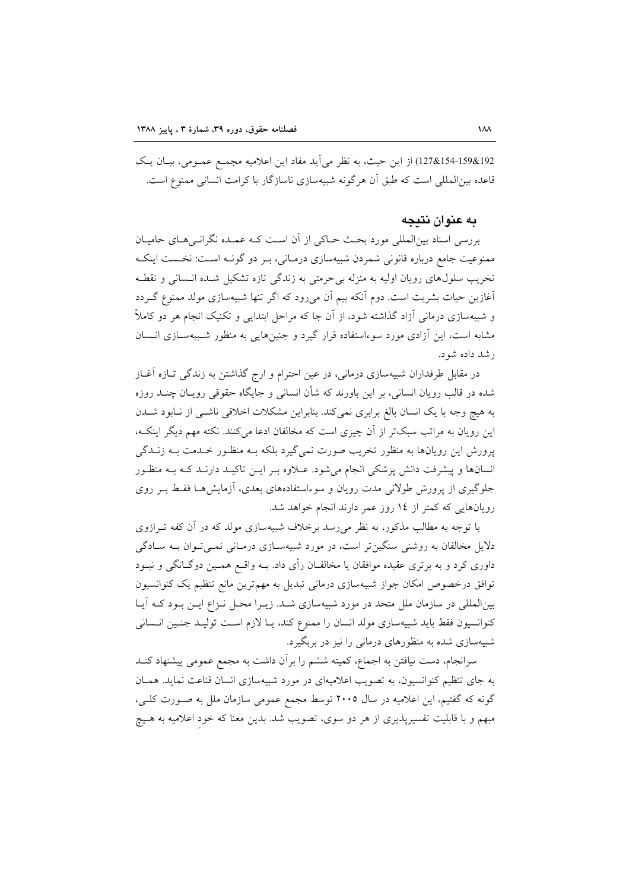192&154-159&127) از این حیث، به نظر می آید مفاد این اعلامیه مجمع عمـومی، بیـان یـک قاعده بین|لمللی است که طبق آن هرگونه شبیهسازی ناسازگار با کرامت انسانی ممنوع است.

#### به عنوان نتبجه

بررسی اسناد بین|لمللی مورد بحث حـاکی از آن اسـت کـه عمـده نگرانـی۵حـای حامیـان ممنوعیت جامع درباره قانونی شمردن شبیهسازی درمـانی، بـر دو گونـه اسـت: نخـست اینکـه تخریب سلولهای رویان اولیه به منزله بی حرمتی به زندگی تازه تشکیل شـده انـسانی و نقطـه آغازین حیات بشریت است. دوم آنکه بیم آن میرود که اگر تنها شبیهسازی مولد ممنوع گـردد و شبیهسازی درمانی آزاد گذاشته شود، از آن جا که مراحل ابتدایی و تکنیک انجام هر دو کاملاً مشابه است، این آزادی مورد سوءاستفاده قرار گیرد و جنینهایی به منظور شـبیهسـازی انـسان رشد داده شو د.

در مقابل طرفداران شبیهسازی درمانی، در عین احترام و ارج گذاشتن به زندگی تـازه آغـاز شده در قالب رویان انسانی، بر این باورند که شأن انسانی و جایگاه حقوقی رویـان چنــد روزه به هیچ وجه با یک انسان بالغ برابری نمی کند. بنابراین مشکلات اخلاقی ناشـی از نـابود شــدن این رویان به مراتب سبکتر از آن چیزی است که مخالفان ادعا میکنند. نکته مهم دیگر اینکـه، یرورش این رویانها به منظور تخریب صورت نمی گیرد بلکه بـه منظـور خـلـمت بـه زنـلـگی انسانها و پیشرفت دانش پزشکی انجام می شود. عبلاوه بـر ایـن تاکیـد دارنـد کـه بـه منظـور جلوگیری از پرورش طولانی مدت رویان و سوءاستفادههای بعدی، آزمایشها فقط بـر روی رویانهایی که کمتر از ١٤ روز عمر دارند انجام خواهد شد.

با توجه به مطالب مذکور، به نظر می رسد برخلاف شبیهسازی مولد که در آن کفه تــرازوی دلایل مخالفان به روشنی سنگینتر است، در مورد شبیهسازی درمـانی نمـیتوان بـه سـادگی داوری کرد و به برتری عقیده موافقان یا مخالفـان رأی داد. بــه واقــع همــین دوگــانگی و نبــود توافق درخصوص امکان جواز شبیهسازی درمانی تبدیل به مهمترین مانع تنظیم یک کنوانسیون بینالمللی در سازمان ملل متحد در مورد شبیهسازی شـد. زیـرا محـل نـزاع ایـن بـود کـه آیـا كنوانسيون فقط بايد شبيهسازي مولد انسان را ممنوع كند، يـا لازم اسـت توليـد جنـين انـساني شبیهسازی شده به منظورهای درمانی را نیز در بربگیرد.

سرانجام، دست نیافتن به اجماع، کمیته ششم را برآن داشت به مجمع عمومی پیشنهاد کنــد به جای تنظیم کنوانسیون، به تصویب اعلامیهای در مورد شبیهسازی انسان قناعت نماید. همـان گونه که گفتیم، این اعلامیه در سال ۲۰۰۵ توسط مجمع عمومی سازمان ملل به صـورت کلـی، مبهم و با قابلیت تفسیرپذیری از هر دو سوی، تصویب شد. بدین معنا که خود اعلامیه به هـیچ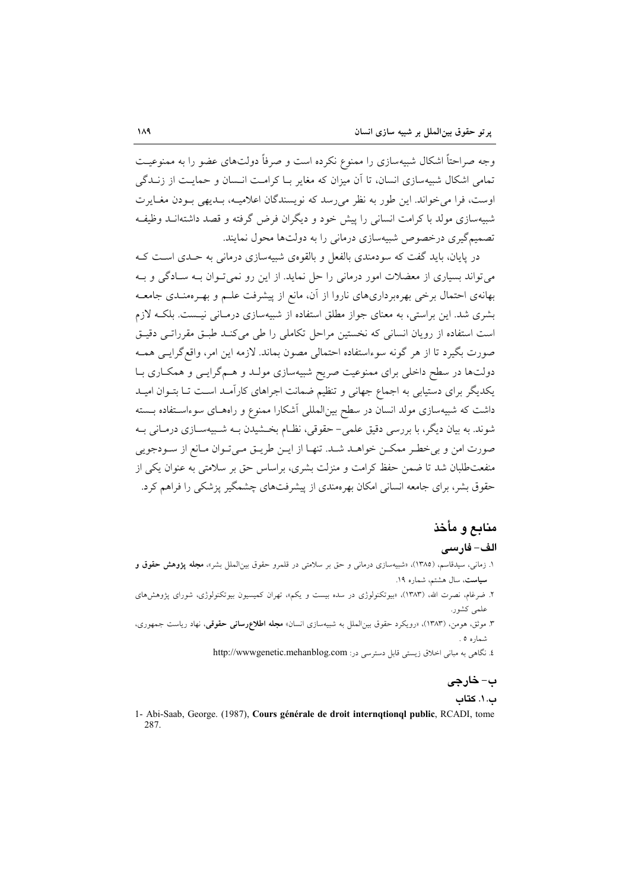وجه صراحتاً اشکال شبیهسازی را ممنوع نکرده است و صرفاً دولتهای عضو را به ممنوعیت تمام ِ اشکال شیبهسازی انسان، تا اَن میزان که مغایر یا کرامت انسان و حمایت از زنیدگی اوست، فرا می خواند. این طور به نظر می رسد که نویسندگان اعلامیـه، بـدیهی بـودن مغـایرت شبیهسازی مولد با کرامت انسانی را پیش خود و دیگران فرض گرفته و قصد داشتهانــد وظیفــه تصمیمگیری درخصوص شبیهسازی درمانی را به دولتها محول نمایند.

در پایان، باید گفت که سودمندی بالفعل و بالقومی شبیهسازی درمانی به حـدی اسـت کـه می تواند بسیاری از معضلات امور درمانی را حل نماید. از این رو نمی تـوان بـه سـادگی و بـه بهانهی احتمال برخی بهرهبرداریهای ناروا از آن، مانع از پیشرفت علـم و بهـرهمنـدی جامعـه بشری شد. این براستی، به معنای جواز مطلق استفاده از شبیهسازی درمـانی نیـست. بلکـه لازم است استفاده از رویان انسانی که نخستین مراحل تکاملی را طی می کنـد طبـق مقرراتـی دقیـق صورت بگیرد تا از هر گونه سوءاستفاده احتمالی مصون بماند. لازمه این امر، واقع گرایـی همـه دولتها در سطح داخلی برای ممنوعیت صریح شبیهسازی مولـد و هــمگرایــی و همکــاری بــا یکدیگر برای دستیابی به اجماع جهانی و تنظیم ضمانت اجراهای کارآمـد اسـت تـا بتـوان امیـد داشت که شبیهسازی مولد انسان در سطح بین|لمللی آشکارا ممنوع و راههـای سوءاسـتفاده بـسته شوند. به بیان دیگر، با بررسی دقیق علمی– حقوقی، نظـام بخـشیدن بــه شـبیهسـازی درمـانی بــه صورت امن و بی خطـر ممکـن خواهـد شـد. تنهـا از ایـن طریـق مـیتـوان مـانع از سـودجویی منفعت طلبان شد تا ضمن حفظ کرامت و منزلت بشری، براساس حق بر سلامتی به عنوان یکی از حقوق بشر، برای جامعه انسانی امکان بهرهمندی از پیشرفتهای چشمگیر پزشکی را فراهم کرد.

# منابع و مأخذ

#### الف- فارسى

- ۱. زمانی، سیدقاسم، (۱۳۸۵)، «شبیهسازی درمانی و حق بر سلامتی در قلمرو حقوق بینالملل بشر»، **مجله پژوهش حقوق و** سیاست، سال هشتم، شماره ۱۹. ۲. ضرغام، نصرت الله، (۱۳۸۳)، «بیوتکنولوژی در سده بیست و یکم»، تهران کمیسیون بیوتکنولوژی، شورای پژوهشرهای
- علمي كشور.
- ۳. موثق، هومن، (۱۳۸۳)، «رویکرد حقوق بینالملل به شبیهسازی انسان» م**جله اطلاعرسانی حقوقی**، نهاد ریاست جمهوری، شماره ٥.
	- ٤. نگاهی به مبانی اخلاق زیستی قابل دسترسی در: http://wwwgenetic.mehanblog.com

# ب- خارجي

ب. ١. كتاب

1- Abi-Saab, George. (1987), Cours générale de droit internqtionql public, RCADI, tome 287.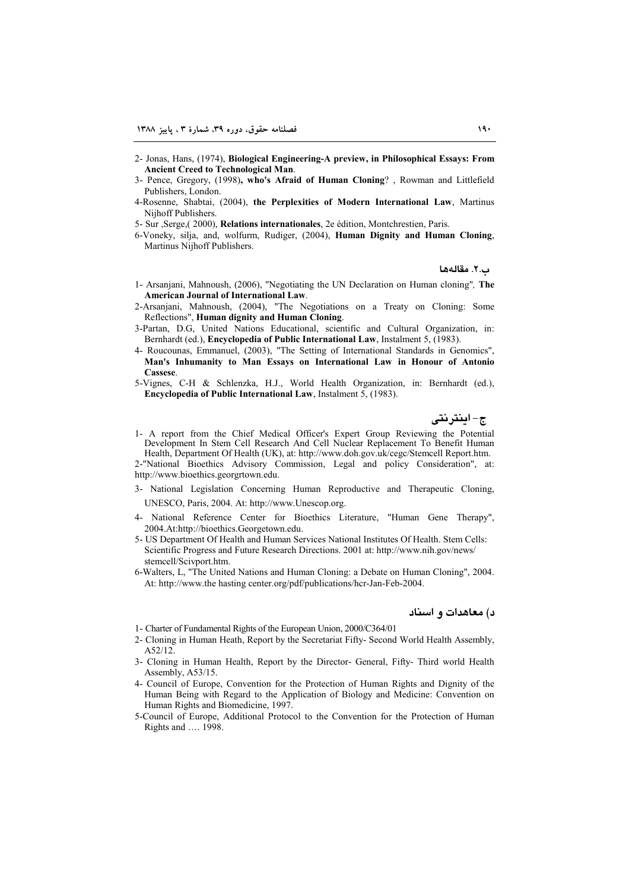- 2- Jonas, Hans, (1974), Biological Engineering-A preview, in Philosophical Essays: From **Ancient Creed to Technological Man.**
- 3- Pence, Gregory, (1998), who's Afraid of Human Cloning?, Rowman and Littlefield Publishers, London.
- 4-Rosenne, Shabtai, (2004), the Perplexities of Modern International Law, Martinus Nijhoff Publishers.
- 5- Sur , Serge, (2000), Relations internationales, 2e édition, Montchrestien, Paris.
- 6-Voneky, silja, and, wolfurm, Rudiger, (2004), Human Dignity and Human Cloning, Martinus Nijhoff Publishers.

ب.۲. مقالهها

- 1- Arsanjani, Mahnoush, (2006), "Negotiating the UN Declaration on Human cloning". The American Journal of International Law.
- 2-Arsanjani, Mahnoush, (2004), "The Negotiations on a Treaty on Cloning: Some Reflections", Human dignity and Human Cloning.
- 3-Partan, D.G, United Nations Educational, scientific and Cultural Organization, in: Bernhardt (ed.), Encyclopedia of Public International Law, Instalment 5, (1983).
- 4- Roucounas, Emmanuel, (2003), "The Setting of International Standards in Genomics", Man's Inhumanity to Man Essays on International Law in Honour of Antonio Cassese
- 5-Vignes, C-H & Schlenzka, H.J., World Health Organization, in: Bernhardt (ed.), Encyclopedia of Public International Law, Instalment 5, (1983).

ج-اينترنتي

1- A report from the Chief Medical Officer's Expert Group Reviewing the Potential Development In Stem Cell Research And Cell Nuclear Replacement To Benefit Human Health, Department Of Health (UK), at: http://www.doh.gov.uk/cegc/Stemcell Report.htm.

2-"National Bioethics Advisory Commission, Legal and policy Consideration", at: http://www.bioethics.georgrtown.edu.

- 3- National Legislation Concerning Human Reproductive and Therapeutic Cloning, UNESCO, Paris, 2004. At: http://www.Unescop.org.
- 4- National Reference Center for Bioethics Literature, "Human Gene Therapy", 2004.At:http://bioethics.Georgetown.edu.
- 5- US Department Of Health and Human Services National Institutes Of Health. Stem Cells: Scientific Progress and Future Research Directions. 2001 at: http://www.nih.gov/news/ stemcell/Scivport.htm.
- 6-Walters, L. "The United Nations and Human Cloning: a Debate on Human Cloning", 2004. At: http://www.the hasting center.org/pdf/publications/hcr-Jan-Feb-2004.

#### د) معاهدات و اسناد

- 1- Charter of Fundamental Rights of the European Union, 2000/C364/01
- 2- Cloning in Human Heath, Report by the Secretariat Fifty-Second World Health Assembly,  $A52/12.$
- 3- Cloning in Human Health, Report by the Director- General, Fifty- Third world Health Assembly, A53/15.
- 4- Council of Europe, Convention for the Protection of Human Rights and Dignity of the Human Being with Regard to the Application of Biology and Medicine: Convention on Human Rights and Biomedicine, 1997.
- 5-Council of Europe, Additional Protocol to the Convention for the Protection of Human Rights and .... 1998.